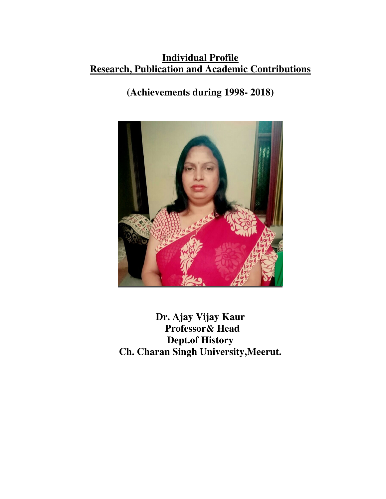# **Individual Profile Research, Publication and Academic Contributions**

# **(Achievements during 1998- 2018)**



**Dr. Ajay Vijay Kaur Professor& Head Dept.of History Ch. Charan Singh University,Meerut.**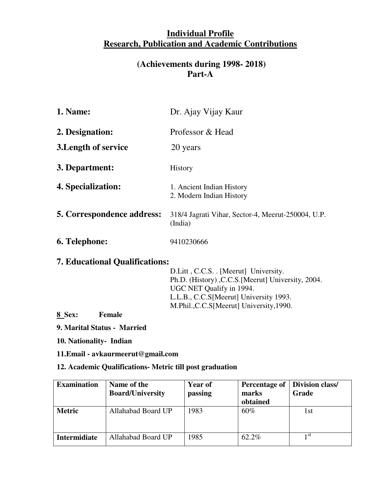# **Individual Profile Research, Publication and Academic Contributions**

### **(Achievements during 1998- 2018) Part-A**

| Dr. Ajay Vijay Kaur                                           |
|---------------------------------------------------------------|
| Professor & Head                                              |
| 20 years                                                      |
| <b>History</b>                                                |
| 1. Ancient Indian History<br>2. Modern Indian History         |
| 318/4 Jagrati Vihar, Sector-4, Meerut-250004, U.P.<br>(India) |
| 9410230666                                                    |
|                                                               |

## **7. Educational Qualifications:**

D.Litt , C.C.S. . [Meerut] University. Ph.D. (History) ,C.C.S.[Meerut] University, 2004. UGC NET Qualify in 1994. L.L.B., C.C.S[Meerut] University 1993. M.Phil.,C.C.S[Meerut] University,1990.

**8 Sex: Female** 

**9. Marital Status - Married** 

**10. Nationality- Indian** 

**11.Email - avkaurmeerut@gmail.com** 

#### **12. Academic Qualifications- Metric till post graduation**

| <b>Examination</b>  | Name of the             | <b>Year of</b> | <b>Percentage of</b> | <b>Division class/</b> |
|---------------------|-------------------------|----------------|----------------------|------------------------|
|                     | <b>Board/University</b> | passing        | marks                | Grade                  |
|                     |                         |                | obtained             |                        |
| <b>Metric</b>       | Allahabad Board UP      | 1983           | 60%                  | 1st                    |
| <b>Intermidiate</b> | Allahabad Board UP      | 1985           | 62.2%                | 1 St                   |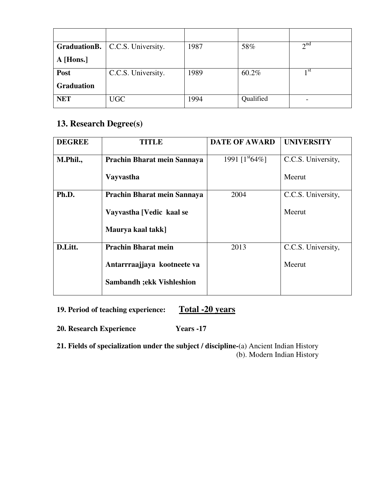|                   | <b>GraduationB.</b>   C.C.S. University. | 1987 | 58%       | $\gamma$ nd     |
|-------------------|------------------------------------------|------|-----------|-----------------|
| A [Hons.]         |                                          |      |           |                 |
| Post              | C.C.S. University.                       | 1989 | 60.2%     | 1 <sup>st</sup> |
| <b>Graduation</b> |                                          |      |           |                 |
| <b>NET</b>        | <b>UGC</b>                               | 1994 | Qualified |                 |

# **13. Research Degree(s)**

| <b>DEGREE</b> | <b>TITLE</b>                      | <b>DATE OF AWARD</b> | <b>UNIVERSITY</b>  |
|---------------|-----------------------------------|----------------------|--------------------|
| M.Phil.,      | Prachin Bharat mein Sannaya       | 1991 $[1st64%]$      | C.C.S. University, |
|               | <b>Vayvastha</b>                  |                      | Meerut             |
| Ph.D.         | Prachin Bharat mein Sannaya       | 2004                 | C.C.S. University, |
|               | Vayvastha [Vedic kaal se          |                      | Meerut             |
|               | Maurya kaal takk]                 |                      |                    |
| D.Litt.       | <b>Prachin Bharat mein</b>        | 2013                 | C.C.S. University, |
|               | Antarrraajjaya kootneete va       |                      | Meerut             |
|               | <b>Sambandh ; ekk Vishleshion</b> |                      |                    |

### **19. Period of teaching experience: Total -20 years**

**20. Research Experience Years -17**

**21. Fields of specialization under the subject / discipline-**(a) Ancient Indian History (b). Modern Indian History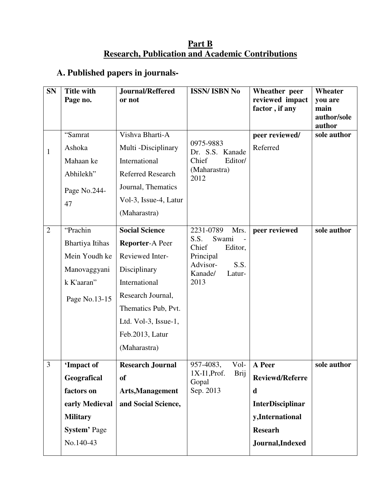#### **Part B Research, Publication and Academic Contributions**

# **A. Published papers in journals-**

| <b>SN</b>      | <b>Title with</b>   | Journal/Reffered         | <b>ISSN/ISBN No</b>                   | Wheather peer                     | <b>Wheater</b>        |
|----------------|---------------------|--------------------------|---------------------------------------|-----------------------------------|-----------------------|
|                | Page no.            | or not                   |                                       | reviewed impact<br>factor, if any | you are<br>main       |
|                |                     |                          |                                       |                                   | author/sole<br>author |
|                | "Samrat             | Vishva Bharti-A          |                                       | peer reviewed/                    | sole author           |
| $\mathbf{1}$   | Ashoka              | Multi-Disciplinary       | 0975-9883<br>Dr. S.S. Kanade          | Referred                          |                       |
|                | Mahaan ke           | International            | Chief<br>Editor/                      |                                   |                       |
|                | Abhilekh"           | <b>Referred Research</b> | (Maharastra)<br>2012                  |                                   |                       |
|                | Page No.244-        | Journal, Thematics       |                                       |                                   |                       |
|                | 47                  | Vol-3, Issue-4, Latur    |                                       |                                   |                       |
|                |                     | (Maharastra)             |                                       |                                   |                       |
| $\overline{2}$ | "Prachin            | <b>Social Science</b>    | 2231-0789<br>Mrs.                     | peer reviewed                     | sole author           |
|                | Bhartiya Itihas     | <b>Reporter-A Peer</b>   | Swami<br>S.S.<br>Chief<br>Editor,     |                                   |                       |
|                | Mein Youdh ke       | Reviewed Inter-          | Principal                             |                                   |                       |
|                | Manovaggyani        | Disciplinary             | Advisor-<br>S.S.<br>Kanade/<br>Latur- |                                   |                       |
|                | k K'aaran"          | International            | 2013                                  |                                   |                       |
|                | Page No.13-15       | Research Journal,        |                                       |                                   |                       |
|                |                     | Thematics Pub, Pvt.      |                                       |                                   |                       |
|                |                     | Ltd. Vol-3, Issue-1,     |                                       |                                   |                       |
|                |                     | Feb.2013, Latur          |                                       |                                   |                       |
|                |                     | (Maharastra)             |                                       |                                   |                       |
| $\overline{3}$ | 'Impact of          | <b>Research Journal</b>  | Vol-<br>957-4083,                     | A Peer                            | sole author           |
|                | Geografical         | <b>of</b>                | Brij<br>$1X-I1$ , Prof.<br>Gopal      | <b>Reviewd/Referre</b>            |                       |
|                | factors on          | Arts, Management         | Sep. 2013                             | d                                 |                       |
|                | early Medieval      | and Social Science,      |                                       | <b>InterDisciplinar</b>           |                       |
|                | <b>Military</b>     |                          |                                       | y,International                   |                       |
|                | <b>System' Page</b> |                          |                                       | <b>Researh</b>                    |                       |
|                | No.140-43           |                          |                                       | Journal, Indexed                  |                       |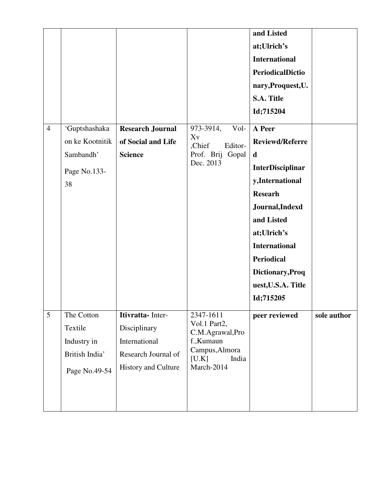|                |                                                                         |                                                                                                  |                                                                                                              | and Listed<br>at;Ulrich's<br><b>International</b><br><b>PeriodicalDictio</b><br>nary, Proquest, U.<br>S.A. Title<br>Id;715204                                                                                                                                       |             |
|----------------|-------------------------------------------------------------------------|--------------------------------------------------------------------------------------------------|--------------------------------------------------------------------------------------------------------------|---------------------------------------------------------------------------------------------------------------------------------------------------------------------------------------------------------------------------------------------------------------------|-------------|
| $\overline{4}$ | 'Guptshashaka<br>on ke Kootnitik<br>Sambandh'<br>Page No.133-<br>38     | <b>Research Journal</b><br>of Social and Life<br><b>Science</b>                                  | 973-3914,<br>Vol-<br>Xv<br>,Chief<br>Editor-<br>Prof. Brij Gopal<br>Dec. 2013                                | A Peer<br><b>Reviewd/Referre</b><br>$\mathbf d$<br><b>InterDisciplinar</b><br>y,International<br><b>Researh</b><br>Journal, Indexd<br>and Listed<br>at;Ulrich's<br><b>International</b><br><b>Periodical</b><br>Dictionary, Proq<br>uest, U.S.A. Title<br>Id;715205 |             |
| 5              | The Cotton<br>Textile<br>Industry in<br>British India'<br>Page No.49-54 | Itivratta- Inter-<br>Disciplinary<br>International<br>Research Journal of<br>History and Culture | 2347-1611<br>Vol.1 Part2,<br>C.M.Agrawal,Pro<br>f., Kumaun<br>Campus, Almora<br>[U.K]<br>India<br>March-2014 | peer reviewed                                                                                                                                                                                                                                                       | sole author |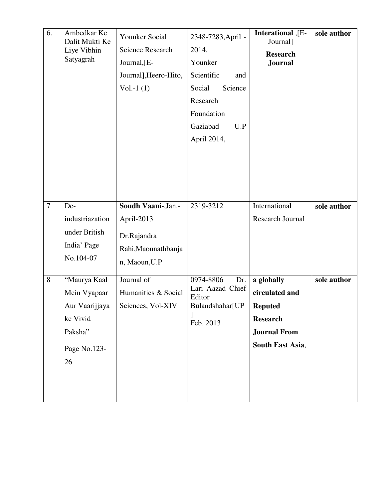| 6.             | Ambedkar Ke<br>Dalit Mukti Ke<br>Liye Vibhin<br>Satyagrah                                   | Younker Social<br><b>Science Research</b><br>Journal, [E-<br>Journal], Heero-Hito,<br>Vol.-1 $(1)$ | 2348-7283, April -<br>2014,<br>Younker<br>Scientific<br>and<br>Science<br>Social<br>Research<br>Foundation<br>Gaziabad<br>U.P<br>April 2014, | Interational, [E-<br>Journal]<br><b>Research</b><br><b>Journal</b>                                           | sole author |
|----------------|---------------------------------------------------------------------------------------------|----------------------------------------------------------------------------------------------------|----------------------------------------------------------------------------------------------------------------------------------------------|--------------------------------------------------------------------------------------------------------------|-------------|
| $\overline{7}$ | De-<br>industriazation<br>under British<br>India' Page<br>No.104-07                         | Soudh Vaani-, Jan.-<br>April-2013<br>Dr.Rajandra<br>Rahi, Maounathbanja<br>n, Maoun, U.P           | 2319-3212                                                                                                                                    | International<br>Research Journal                                                                            | sole author |
| 8              | "Maurya Kaal<br>Mein Vyapaar<br>Aur Vaarijjaya<br>ke Vivid<br>Paksha"<br>Page No.123-<br>26 | Journal of<br>Humanities & Social<br>Sciences, Vol-XIV                                             | 0974-8806<br>Dr.<br>Lari Aazad Chief<br>Editor<br>Bulandshahar[UP<br>Feb. 2013                                                               | a globally<br>circulated and<br><b>Reputed</b><br><b>Research</b><br><b>Journal From</b><br>South East Asia, | sole author |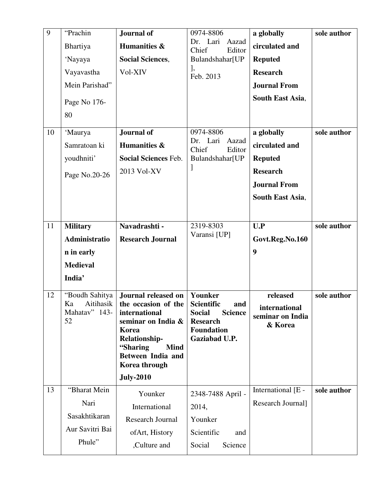| 9  | "Prachin                         | Journal of                                      | 0974-8806                                                   | a globally                  | sole author |
|----|----------------------------------|-------------------------------------------------|-------------------------------------------------------------|-----------------------------|-------------|
|    | Bhartiya                         | Humanities &                                    | Dr. Lari<br>Aazad<br>Chief<br>Editor                        | circulated and              |             |
|    | 'Nayaya                          | <b>Social Sciences,</b>                         | Bulandshahar[UP                                             | <b>Reputed</b>              |             |
|    | Vayavastha                       | Vol-XIV                                         | 1,<br>Feb. 2013                                             | <b>Research</b>             |             |
|    | Mein Parishad"                   |                                                 |                                                             | <b>Journal From</b>         |             |
|    | Page No 176-                     |                                                 |                                                             | South East Asia,            |             |
|    | 80                               |                                                 |                                                             |                             |             |
|    |                                  |                                                 |                                                             |                             |             |
| 10 | 'Maurya                          | Journal of                                      | 0974-8806<br>Dr. Lari<br>Aazad                              | a globally                  | sole author |
|    | Samratoan ki                     | Humanities &                                    | Chief<br>Editor                                             | circulated and              |             |
|    | youdhniti'                       | <b>Social Sciences Feb.</b>                     | Bulandshahar[UP                                             | <b>Reputed</b>              |             |
|    | Page No.20-26                    | 2013 Vol-XV                                     | J                                                           | <b>Research</b>             |             |
|    |                                  |                                                 |                                                             | <b>Journal From</b>         |             |
|    |                                  |                                                 |                                                             | <b>South East Asia,</b>     |             |
|    |                                  |                                                 |                                                             |                             |             |
| 11 | <b>Military</b>                  | Navadrashti -                                   | 2319-8303                                                   | U.P                         | sole author |
|    | Administratio                    | <b>Research Journal</b>                         | Varansi [UP]                                                | Govt.Reg.No.160             |             |
|    | n in early                       |                                                 |                                                             | 9                           |             |
|    | <b>Medieval</b>                  |                                                 |                                                             |                             |             |
|    | India'                           |                                                 |                                                             |                             |             |
| 12 | "Boudh Sahitya                   | Journal released on                             | Younker                                                     | released                    | sole author |
|    | Aitihasik<br>Ka<br>Mahatav" 143- | the occasion of the<br>international            | <b>Scientific</b><br>and<br><b>Social</b><br><b>Science</b> | international               |             |
|    | 52                               | seminar on India &                              | <b>Research</b>                                             | seminar on India<br>& Korea |             |
|    |                                  | Korea                                           | <b>Foundation</b>                                           |                             |             |
|    |                                  | <b>Relationship-</b><br>"Sharing<br><b>Mind</b> | Gaziabad U.P.                                               |                             |             |
|    |                                  | <b>Between India and</b>                        |                                                             |                             |             |
|    |                                  | Korea through                                   |                                                             |                             |             |
| 13 | "Bharat Mein                     | <b>July-2010</b>                                |                                                             |                             |             |
|    |                                  | Younker                                         | 2348-7488 April -                                           | International [E -          | sole author |
|    | Nari                             | International                                   | 2014,                                                       | Research Journal]           |             |
|    | Sasakhtikaran                    | <b>Research Journal</b>                         | Younker                                                     |                             |             |
|    | Aur Savitri Bai                  | of Art, History                                 | Scientific<br>and                                           |                             |             |
|    | Phule"                           | ,Culture and                                    | Social<br>Science                                           |                             |             |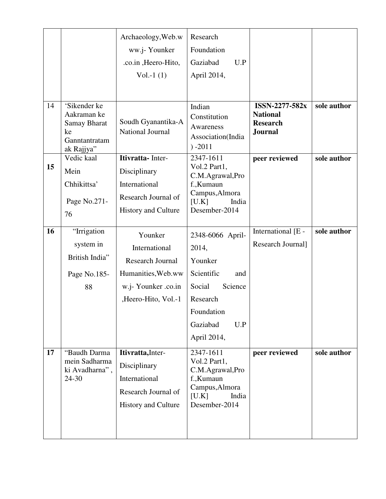|    |                                                                                         | Archaeology, Web.w<br>ww.j-Younker<br>.co.in , Heero-Hito,<br>$Vol.-1(1)$                                        | Research<br>Foundation<br>Gaziabad<br>U.P<br>April 2014,                                                                                   |                                                                        |             |
|----|-----------------------------------------------------------------------------------------|------------------------------------------------------------------------------------------------------------------|--------------------------------------------------------------------------------------------------------------------------------------------|------------------------------------------------------------------------|-------------|
| 14 | 'Sikender ke<br>Aakraman ke<br><b>Samay Bharat</b><br>ke<br>Ganntantratam<br>ak Rajjya" | Soudh Gyanantika-A<br>National Journal                                                                           | Indian<br>Constitution<br>Awareness<br>Association(India<br>$) -2011$                                                                      | ISSN-2277-582x<br><b>National</b><br><b>Research</b><br><b>Journal</b> | sole author |
| 15 | Vedic kaal<br>Mein<br>Chhikittsa'<br>Page No.271-<br>76                                 | Itivratta- Inter-<br>Disciplinary<br>International<br>Research Journal of<br><b>History and Culture</b>          | 2347-1611<br>Vol.2 Part1,<br>C.M.Agrawal,Pro<br>f., Kumaun<br>Campus, Almora<br>[U.K]<br>India<br>Desember-2014                            | peer reviewed                                                          | sole author |
| 16 | "Irrigation<br>system in<br>British India"<br>Page No.185-<br>88                        | Younker<br>International<br>Research Journal<br>Humanities, Web.ww<br>w.j- Younker .co.in<br>,Heero-Hito, Vol.-1 | 2348-6066 April-<br>2014,<br>Younker<br>Scientific<br>and<br>Social<br>Science<br>Research<br>Foundation<br>Gaziabad<br>U.P<br>April 2014, | International [E -<br>Research Journal]                                | sole author |
| 17 | "Baudh Darma<br>mein Sadharma<br>ki Avadharna",<br>24-30                                | Itivratta, Inter-<br>Disciplinary<br>International<br>Research Journal of<br>History and Culture                 | 2347-1611<br>Vol.2 Part1,<br>C.M.Agrawal,Pro<br>f., Kumaun<br>Campus, Almora<br>[U.K]<br>India<br>Desember-2014                            | peer reviewed                                                          | sole author |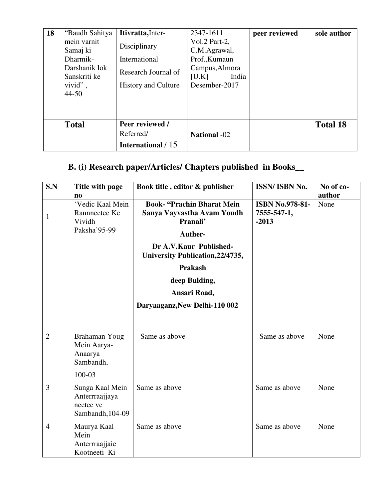| 18 | "Baudh Sahitya | Itivratta, Inter-          | 2347-1611           | peer reviewed | sole author     |
|----|----------------|----------------------------|---------------------|---------------|-----------------|
|    | mein varnit    | Disciplinary               | Vol.2 Part-2,       |               |                 |
|    | Samaj ki       |                            | C.M.Agrawal,        |               |                 |
|    | Dharmik-       | International              | Prof., Kumaun       |               |                 |
|    | Darshanik lok  | Research Journal of        | Campus, Almora      |               |                 |
|    | Sanskriti ke   |                            | India<br>[U.K]      |               |                 |
|    | vivid",        | <b>History and Culture</b> | Desember-2017       |               |                 |
|    | $44 - 50$      |                            |                     |               |                 |
|    |                |                            |                     |               |                 |
|    |                |                            |                     |               |                 |
|    | <b>Total</b>   | Peer reviewed /            |                     |               | <b>Total 18</b> |
|    |                | Referred/                  | <b>National -02</b> |               |                 |
|    |                | International / 15         |                     |               |                 |

# **B. (i) Research paper/Articles/ Chapters published in Books\_\_**

| S.N            | Title with page<br>n <sub>0</sub>                                  | Book title, editor & publisher                                                         | ISSN/ ISBN No.                                   | No of co-<br>author |
|----------------|--------------------------------------------------------------------|----------------------------------------------------------------------------------------|--------------------------------------------------|---------------------|
| 1              | 'Vedic Kaal Mein<br>Rannneetee Ke<br>Vividh<br>Paksha'95-99        | <b>Book-</b> "Prachin Bharat Mein<br>Sanya Vayvastha Avam Youdh<br>Pranali'<br>Auther- | <b>ISBN No.978-81-</b><br>7555-547-1,<br>$-2013$ | None                |
|                |                                                                    | Dr A.V.Kaur Published-<br><b>University Publication, 22/4735,</b>                      |                                                  |                     |
|                |                                                                    | <b>Prakash</b>                                                                         |                                                  |                     |
|                |                                                                    | deep Bulding,<br>Ansari Road,                                                          |                                                  |                     |
|                |                                                                    | Daryaaganz, New Delhi-110 002                                                          |                                                  |                     |
|                |                                                                    |                                                                                        |                                                  |                     |
| $\overline{2}$ | Brahaman Youg<br>Mein Aarya-<br>Anaarya<br>Sambandh,<br>100-03     | Same as above                                                                          | Same as above                                    | None                |
| $\overline{3}$ | Sunga Kaal Mein<br>Anterrraajjaya<br>neetee ve<br>Sambandh, 104-09 | Same as above                                                                          | Same as above                                    | None                |
| $\overline{4}$ | Maurya Kaal<br>Mein<br>Anterrraajjaie<br>Kootneeti Ki              | Same as above                                                                          | Same as above                                    | None                |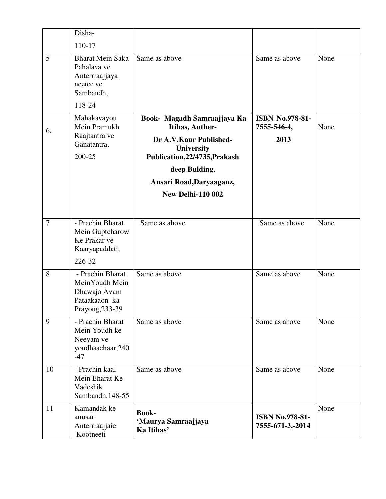|                | Disha-                                                                                       |                                                                                                                                |                                               |      |
|----------------|----------------------------------------------------------------------------------------------|--------------------------------------------------------------------------------------------------------------------------------|-----------------------------------------------|------|
|                | 110-17                                                                                       |                                                                                                                                |                                               |      |
| 5              | <b>Bharat Mein Saka</b><br>Pahalava ve<br>Anterrraajjaya<br>neetee ve<br>Sambandh,<br>118-24 | Same as above                                                                                                                  | Same as above                                 | None |
| 6.             | Mahakavayou<br>Mein Pramukh<br>Raajtantra ve<br>Ganatantra,<br>200-25                        | Book- Magadh Samraajjaya Ka<br>Itihas, Auther-<br>Dr A.V.Kaur Published-<br><b>University</b><br>Publication, 22/4735, Prakash | <b>ISBN No.978-81-</b><br>7555-546-4,<br>2013 | None |
|                |                                                                                              | deep Bulding,                                                                                                                  |                                               |      |
|                |                                                                                              | Ansari Road, Daryaaganz,                                                                                                       |                                               |      |
|                |                                                                                              | <b>New Delhi-110 002</b>                                                                                                       |                                               |      |
| $\overline{7}$ | - Prachin Bharat<br>Mein Guptcharow<br>Ke Prakar ve<br>Kaaryapaddati,<br>226-32              | Same as above                                                                                                                  | Same as above                                 | None |
| 8              | - Prachin Bharat<br>MeinYoudh Mein<br>Dhawajo Avam<br>Pataakaaon ka<br>Prayoug, 233-39       | Same as above                                                                                                                  | Same as above                                 | None |
| 9              | - Prachin Bharat<br>Mein Youdh ke<br>Neeyam ve<br>youdhaachaar, 240<br>$-47$                 | Same as above                                                                                                                  | Same as above                                 | None |
| 10             | - Prachin kaal<br>Mein Bharat Ke<br>Vadeshik<br>Sambandh, 148-55                             | Same as above                                                                                                                  | Same as above                                 | None |
| 11             | Kamandak ke<br>anusar<br>Anterrraajjaie<br>Kootneeti                                         | <b>Book-</b><br>'Maurya Samraajjaya<br>Ka Itihas'                                                                              | <b>ISBN No.978-81-</b><br>7555-671-3,-2014    | None |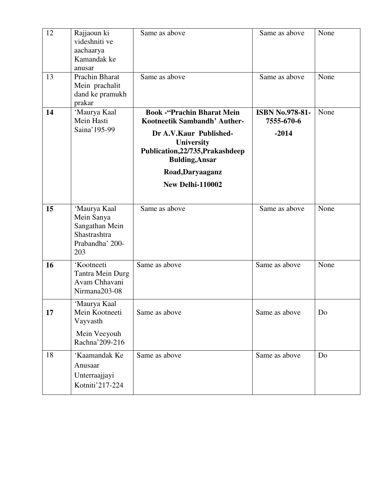| 12 | Rajjaoun ki<br>videshniti ve<br>aachaarya<br>Kamandak ke<br>anusar                     | Same as above                                                                                                                                                                  | Same as above                                   | None |
|----|----------------------------------------------------------------------------------------|--------------------------------------------------------------------------------------------------------------------------------------------------------------------------------|-------------------------------------------------|------|
| 13 | Prachin Bharat<br>Mein prachalit<br>dand ke pramukh<br>prakar                          | Same as above                                                                                                                                                                  | Same as above                                   | None |
| 14 | 'Maurya Kaal<br>Mein Hasti<br>Saina' 195-99                                            | <b>Book - "Prachin Bharat Mein</b><br>Kootneetik Sambandh' Auther-<br>Dr A.V.Kaur Published-<br><b>University</b><br>Publication, 22/735, Prakashdeep<br><b>Bulding, Ansar</b> | <b>ISBN No.978-81-</b><br>7555-670-6<br>$-2014$ | None |
|    |                                                                                        | Road, Daryaaganz<br>New Delhi-110002                                                                                                                                           |                                                 |      |
| 15 | 'Maurya Kaal<br>Mein Sanya<br>Sangathan Mein<br>Shastrashtra<br>Prabandha' 200-<br>203 | Same as above                                                                                                                                                                  | Same as above                                   | None |
| 16 | 'Kootneeti<br>Tantra Mein Durg<br>Avam Chhavani<br>Nirmana203-08                       | Same as above                                                                                                                                                                  | Same as above                                   | None |
| 17 | 'Maurya Kaal<br>Mein Kootneeti<br>Vayvasth<br>Mein Veeyouh<br>Rachna' 209-216          | Same as above                                                                                                                                                                  | Same as above                                   | Do   |
| 18 | 'Kaamandak Ke<br>Anusaar<br>Unterraajjayi<br>Kotniti'217-224                           | Same as above                                                                                                                                                                  | Same as above                                   | Do   |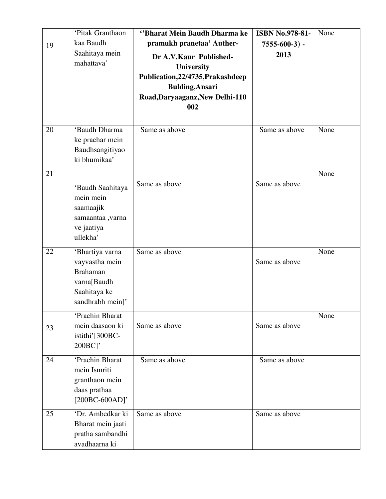|    | 'Pitak Granthaon                                                                                        | "Bharat Mein Baudh Dharma ke                                                                                                                         | <b>ISBN No.978-81-</b> | None |
|----|---------------------------------------------------------------------------------------------------------|------------------------------------------------------------------------------------------------------------------------------------------------------|------------------------|------|
| 19 | kaa Baudh                                                                                               | pramukh pranetaa' Auther-                                                                                                                            | $7555-600-3$ ) -       |      |
|    | Saahitaya mein<br>mahattava'                                                                            | Dr A.V.Kaur Published-<br><b>University</b><br>Publication, 22/4735, Prakashdeep<br><b>Bulding, Ansari</b><br>Road, Daryaaganz, New Delhi-110<br>002 | 2013                   |      |
| 20 | 'Baudh Dharma<br>ke prachar mein<br>Baudhsangitiyao<br>ki bhumikaa'                                     | Same as above                                                                                                                                        | Same as above          | None |
| 21 | 'Baudh Saahitaya<br>mein mein<br>saamaajik<br>samaantaa ,varna<br>ve jaatiya<br>ullekha'                | Same as above                                                                                                                                        | Same as above          | None |
| 22 | 'Bhartiya varna<br>vayvastha mein<br><b>Brahaman</b><br>varna[Baudh<br>Saahitaya ke<br>sandhrabh mein]' | Same as above                                                                                                                                        | Same as above          | None |
| 23 | 'Prachin Bharat<br>mein daasaon ki<br>istithi'[300BC-<br>$200BC$ ]'                                     | Same as above                                                                                                                                        | Same as above          | None |
| 24 | 'Prachin Bharat<br>mein Ismriti<br>granthaon mein<br>daas prathaa<br>$[200BC-600AD]$ '                  | Same as above                                                                                                                                        | Same as above          |      |
| 25 | 'Dr. Ambedkar ki<br>Bharat mein jaati<br>pratha sambandhi<br>avadhaarna ki                              | Same as above                                                                                                                                        | Same as above          |      |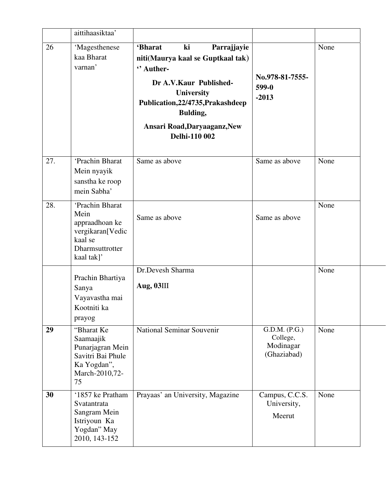|     | aittihaasiktaa'                                                                                           |                                                                                                                                                                                                                                               |                                                       |      |
|-----|-----------------------------------------------------------------------------------------------------------|-----------------------------------------------------------------------------------------------------------------------------------------------------------------------------------------------------------------------------------------------|-------------------------------------------------------|------|
| 26  | 'Magesthenese<br>kaa Bharat<br>varnan'                                                                    | <b>'Bharat</b><br>Parrajjayie<br>ki<br>niti(Maurya kaal se Guptkaal tak)<br>" Auther-<br>Dr A.V.Kaur Published-<br><b>University</b><br>Publication, 22/4735, Prakashdeep<br><b>Bulding,</b><br>Ansari Road, Daryaaganz, New<br>Delhi-110 002 | No.978-81-7555-<br>599-0<br>$-2013$                   | None |
| 27. | 'Prachin Bharat<br>Mein nyayik<br>sanstha ke roop<br>mein Sabha'                                          | Same as above                                                                                                                                                                                                                                 | Same as above                                         | None |
| 28. | 'Prachin Bharat<br>Mein<br>appraadhoan ke<br>vergikaran[Vedic<br>kaal se<br>Dharmsuttrotter<br>kaal tak]' | Same as above                                                                                                                                                                                                                                 | Same as above                                         | None |
|     | Prachin Bhartiya<br>Sanya<br>Vayavastha mai<br>Kootniti ka<br>prayog                                      | Dr.Devesh Sharma<br>Aug, 03III                                                                                                                                                                                                                |                                                       | None |
| 29  | "Bharat Ke<br>Saamaajik<br>Punarjagran Mein<br>Savitri Bai Phule<br>Ka Yogdan",<br>March-2010,72-<br>75   | National Seminar Souvenir                                                                                                                                                                                                                     | G.D.M. (P.G.)<br>College,<br>Modinagar<br>(Ghaziabad) | None |
| 30  | '1857 ke Pratham<br>Svatantrata<br>Sangram Mein<br>Istriyoun Ka<br>Yogdan" May<br>2010, 143-152           | Prayaas' an University, Magazine                                                                                                                                                                                                              | Campus, C.C.S.<br>University,<br>Meerut               | None |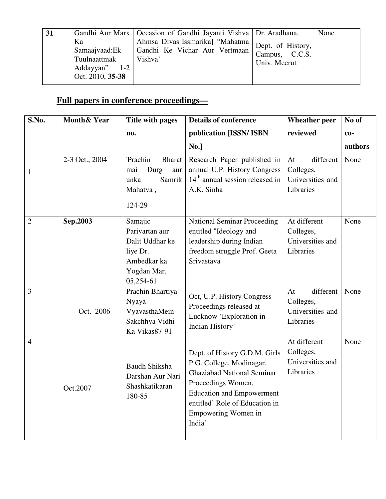| 31 |                                                                                | Gandhi Aur Marx   Occasion of Gandhi Jayanti Vishva   Dr. Aradhana,           |                                                                  | None |
|----|--------------------------------------------------------------------------------|-------------------------------------------------------------------------------|------------------------------------------------------------------|------|
|    | Ka<br>Samaajvaad: Ek<br>Tuulnaattmak<br>Addayyan"<br>$1-2$<br>Oct. 2010, 35-38 | Ahmsa Divas[Issmarika] "Mahatma  <br>Gandhi Ke Vichar Aur Vertmaan<br>Vishva' | Dept. of History,<br>Campus, C.C.S. <sup>1</sup><br>Univ. Meerut |      |

# **Full papers in conference proceedings—**

| S.No.          | <b>Month&amp; Year</b> | Title with pages                                                                                    | <b>Details of conference</b>                                                                                                                                                                                                | <b>Wheather peer</b>                                          | No of   |
|----------------|------------------------|-----------------------------------------------------------------------------------------------------|-----------------------------------------------------------------------------------------------------------------------------------------------------------------------------------------------------------------------------|---------------------------------------------------------------|---------|
|                |                        | no.                                                                                                 | publication [ISSN/ ISBN                                                                                                                                                                                                     | reviewed                                                      | $co-$   |
|                |                        |                                                                                                     | No.]                                                                                                                                                                                                                        |                                                               | authors |
| $\mathbf{1}$   | 2-3 Oct., 2004         | 'Prachin<br><b>Bharat</b><br>Durg<br>mai<br>aur<br>Samrik<br>unka<br>Mahatva,<br>124-29             | Research Paper published in<br>annual U.P. History Congress<br>$14th$ annual session released in<br>A.K. Sinha                                                                                                              | different<br>At<br>Colleges,<br>Universities and<br>Libraries | None    |
| $\overline{2}$ | Sep.2003               | Samajic<br>Parivartan aur<br>Dalit Uddhar ke<br>liye Dr.<br>Ambedkar ka<br>Yogdan Mar,<br>05,254-61 | <b>National Seminar Proceeding</b><br>entitled "Ideology and<br>leadership during Indian<br>freedom struggle Prof. Geeta<br>Srivastava                                                                                      | At different<br>Colleges,<br>Universities and<br>Libraries    | None    |
| $\overline{3}$ | Oct. 2006              | Prachin Bhartiya<br>Nyaya<br>VyavasthaMein<br>Sakchhya Vidhi<br>Ka Vikas87-91                       | Oct, U.P. History Congress<br>Proceedings released at<br>Lucknow 'Exploration in<br>Indian History'                                                                                                                         | different<br>At<br>Colleges,<br>Universities and<br>Libraries | None    |
| $\overline{4}$ | Oct.2007               | <b>Baudh Shiksha</b><br>Darshan Aur Nari<br>Shashkatikaran<br>180-85                                | Dept. of History G.D.M. Girls<br>P.G. College, Modinagar,<br><b>Ghaziabad National Seminar</b><br>Proceedings Women,<br><b>Education and Empowerment</b><br>entitled' Role of Education in<br>Empowering Women in<br>India' | At different<br>Colleges,<br>Universities and<br>Libraries    | None    |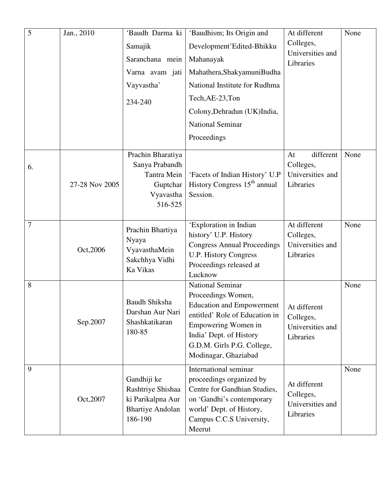| $\overline{5}$ | Jan., 2010     | 'Baudh Darma ki<br>Samajik<br>Saranchana mein<br>Varna avam jati<br>Vayvastha'<br>234-240     | 'Baudhism; Its Origin and<br>Development'Edited-Bhikku<br>Mahanayak<br>Mahathera, Shakyamuni Budha<br>National Institute for Rudhma<br>Tech, AE-23, Ton<br>Colony, Dehradun (UK)India,<br>National Seminar<br>Proceedings | At different<br>Colleges,<br>Universities and<br>Libraries    | None |
|----------------|----------------|-----------------------------------------------------------------------------------------------|---------------------------------------------------------------------------------------------------------------------------------------------------------------------------------------------------------------------------|---------------------------------------------------------------|------|
| 6.             | 27-28 Nov 2005 | Prachin Bharatiya<br>Sanya Prabandh<br><b>Tantra Mein</b><br>Guptchar<br>Vyavastha<br>516-525 | 'Facets of Indian History' U.P<br>History Congress 15 <sup>th</sup> annual<br>Session.                                                                                                                                    | different<br>At<br>Colleges,<br>Universities and<br>Libraries | None |
| 7              | Oct, 2006      | Prachin Bhartiya<br>Nyaya<br>VyavasthaMein<br>Sakchhya Vidhi<br>Ka Vikas                      | 'Exploration in Indian<br>history' U.P. History<br><b>Congress Annual Proceedings</b><br><b>U.P. History Congress</b><br>Proceedings released at<br>Lucknow                                                               | At different<br>Colleges,<br>Universities and<br>Libraries    | None |
| 8              | Sep.2007       | <b>Baudh Shiksha</b><br>Darshan Aur Nari<br>Shashkatikaran<br>180-85                          | National Seminar<br>Proceedings Women,<br><b>Education and Empowerment</b><br>entitled' Role of Education in<br>Empowering Women in<br>India' Dept. of History<br>G.D.M. Girls P.G. College,<br>Modinagar, Ghaziabad      | At different<br>Colleges,<br>Universities and<br>Libraries    | None |
| 9              | Oct, 2007      | Gandhiji ke<br>Rashtriye Shishaa<br>ki Parikalpna Aur<br><b>Bhartiye Andolan</b><br>186-190   | International seminar<br>proceedings organized by<br>Centre for Gandhian Studies,<br>on 'Gandhi's contemporary<br>world' Dept. of History,<br>Campus C.C.S University,<br>Meerut                                          | At different<br>Colleges,<br>Universities and<br>Libraries    | None |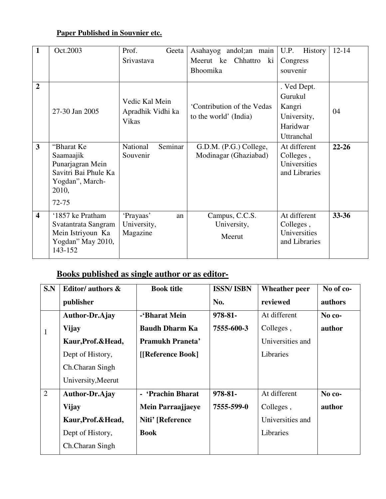# **Paper Published in Souvnier etc.**

| $\mathbf{1}$            | Oct.2003                                                                                                     | Prof.<br>Geeta                                      | Asahayog andol; an main                             | U.P.<br>History                                                           | $12 - 14$ |
|-------------------------|--------------------------------------------------------------------------------------------------------------|-----------------------------------------------------|-----------------------------------------------------|---------------------------------------------------------------------------|-----------|
|                         |                                                                                                              | Srivastava                                          | Meerut ke<br>Chhattro<br>ki                         | Congress                                                                  |           |
|                         |                                                                                                              |                                                     | Bhoomika                                            | souvenir                                                                  |           |
| $\overline{2}$          | 27-30 Jan 2005                                                                                               | Vedic Kal Mein<br>Apradhik Vidhi ka<br><b>Vikas</b> | 'Contribution of the Vedas<br>to the world' (India) | . Ved Dept.<br>Gurukul<br>Kangri<br>University,<br>Haridwar<br>Uttranchal | 04        |
| $\overline{3}$          | "Bharat Ke<br>Saamaajik<br>Punarjagran Mein<br>Savitri Bai Phule Ka<br>Yogdan", March-<br>2010,<br>$72 - 75$ | National<br>Seminar<br>Souvenir                     | G.D.M. (P.G.) College,<br>Modinagar (Ghaziabad)     | At different<br>Colleges,<br>Universities<br>and Libraries                | $22 - 26$ |
| $\overline{\mathbf{4}}$ | '1857 ke Pratham<br>Svatantrata Sangram<br>Mein Istriyoun Ka<br>Yogdan" May 2010,<br>143-152                 | 'Prayaas'<br>an<br>University,<br>Magazine          | Campus, C.C.S.<br>University,<br>Meerut             | At different<br>Colleges,<br>Universities<br>and Libraries                | 33-36     |

# **Books published as single author or as editor***-*

| S.N            | Editor/ authors &   | <b>Book title</b>     | <b>ISSN/ISBN</b> | <b>Wheather peer</b> | No of co- |
|----------------|---------------------|-----------------------|------------------|----------------------|-----------|
|                | publisher           |                       | No.              | reviewed             | authors   |
|                | Author-Dr.Ajay      | -'Bharat Mein         | 978-81-          | At different         | No co-    |
| $\mathbf{1}$   | <b>Vijay</b>        | <b>Baudh Dharm Ka</b> | 7555-600-3       | Colleges,            | author    |
|                | Kaur, Prof. & Head, | Pramukh Praneta'      |                  | Universities and     |           |
|                | Dept of History,    | [[Reference Book]     |                  | Libraries            |           |
|                | Ch.Charan Singh     |                       |                  |                      |           |
|                | University, Meerut  |                       |                  |                      |           |
| $\overline{2}$ | Author-Dr.Ajay      | - 'Prachin Bharat     | 978-81-          | At different         | No co-    |
|                | <b>Vijay</b>        | Mein Parraajjaeye     | 7555-599-0       | Colleges,            | author    |
|                | Kaur, Prof. & Head, | Niti' [Reference      |                  | Universities and     |           |
|                | Dept of History,    | <b>Book</b>           |                  | Libraries            |           |
|                | Ch.Charan Singh     |                       |                  |                      |           |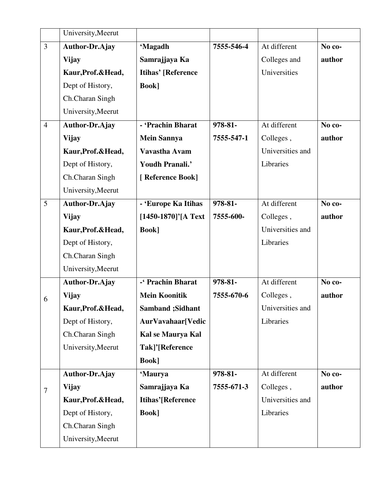|                  | University, Meerut    |                           |            |                  |        |
|------------------|-----------------------|---------------------------|------------|------------------|--------|
| $\overline{3}$   | <b>Author-Dr.Ajay</b> | 'Magadh                   | 7555-546-4 | At different     | No co- |
|                  | <b>Vijay</b>          | Samrajjaya Ka             |            | Colleges and     | author |
|                  | Kaur, Prof. & Head,   | <b>Itihas' [Reference</b> |            | Universities     |        |
|                  | Dept of History,      | <b>Book</b> ]             |            |                  |        |
|                  | Ch.Charan Singh       |                           |            |                  |        |
|                  | University, Meerut    |                           |            |                  |        |
| $\overline{4}$   | Author-Dr.Ajay        | - 'Prachin Bharat         | 978-81-    | At different     | No co- |
|                  | <b>Vijay</b>          | <b>Mein Sannya</b>        | 7555-547-1 | Colleges,        | author |
|                  | Kaur, Prof. & Head,   | Vavastha Avam             |            | Universities and |        |
|                  | Dept of History,      | Youdh Pranali.'           |            | Libraries        |        |
|                  | Ch.Charan Singh       | [ Reference Book]         |            |                  |        |
|                  | University, Meerut    |                           |            |                  |        |
| 5                | Author-Dr.Ajay        | - 'Europe Ka Itihas       | 978-81-    | At different     | No co- |
|                  | <b>Vijay</b>          | [1450-1870]'[A Text       | 7555-600-  | Colleges,        | author |
|                  | Kaur, Prof. & Head,   | <b>Book</b> ]             |            | Universities and |        |
|                  | Dept of History,      |                           |            | Libraries        |        |
|                  | Ch.Charan Singh       |                           |            |                  |        |
|                  | University, Meerut    |                           |            |                  |        |
|                  | <b>Author-Dr.Ajay</b> | -' Prachin Bharat         | 978-81-    | At different     | No co- |
| 6                | <b>Vijay</b>          | <b>Mein Koonitik</b>      | 7555-670-6 | Colleges,        | author |
|                  | Kaur, Prof. & Head,   | <b>Samband</b> ; Sidhant  |            | Universities and |        |
|                  | Dept of History,      | AurVavahaar[Vedic         |            | Libraries        |        |
|                  | Ch.Charan Singh       | Kal se Maurya Kal         |            |                  |        |
|                  | University, Meerut    | Tak]'[Reference           |            |                  |        |
|                  |                       | <b>Book</b> ]             |            |                  |        |
|                  | Author-Dr.Ajay        | 'Maurya                   | 978-81-    | At different     | No co- |
| $\boldsymbol{7}$ | <b>Vijay</b>          | Samrajjaya Ka             | 7555-671-3 | Colleges,        | author |
|                  | Kaur, Prof. & Head,   | <b>Itihas'[Reference</b>  |            | Universities and |        |
|                  | Dept of History,      | <b>Book</b> ]             |            | Libraries        |        |
|                  | Ch.Charan Singh       |                           |            |                  |        |
|                  | University, Meerut    |                           |            |                  |        |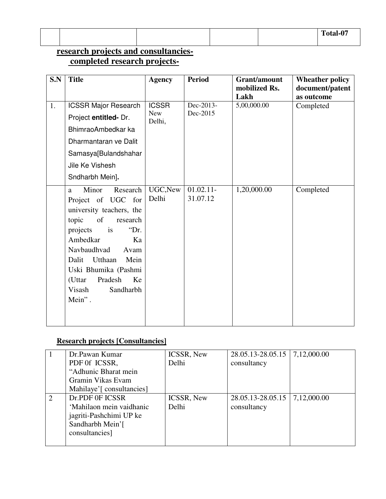|  |  | Total-07 |
|--|--|----------|

# **research projects and consultancies completed research projects-**

| S.N | <b>Title</b>                                                                                                                                                                                                                                                                                       | <b>Agency</b>        | <b>Period</b>            | Grant/amount<br>mobilized Rs.<br>Lakh | <b>Wheather policy</b><br>document/patent<br>as outcome |
|-----|----------------------------------------------------------------------------------------------------------------------------------------------------------------------------------------------------------------------------------------------------------------------------------------------------|----------------------|--------------------------|---------------------------------------|---------------------------------------------------------|
| 1.  | <b>ICSSR Major Research</b>                                                                                                                                                                                                                                                                        | <b>ICSSR</b>         | Dec-2013-                | 5,00,000.00                           | Completed                                               |
|     | Project entitled- Dr.                                                                                                                                                                                                                                                                              | <b>New</b><br>Delhi, | Dec-2015                 |                                       |                                                         |
|     | BhimraoAmbedkar ka                                                                                                                                                                                                                                                                                 |                      |                          |                                       |                                                         |
|     | Dharmantaran ve Dalit                                                                                                                                                                                                                                                                              |                      |                          |                                       |                                                         |
|     | Samasya[Bulandshahar                                                                                                                                                                                                                                                                               |                      |                          |                                       |                                                         |
|     | Jile Ke Vishesh                                                                                                                                                                                                                                                                                    |                      |                          |                                       |                                                         |
|     | Sndharbh Mein].                                                                                                                                                                                                                                                                                    |                      |                          |                                       |                                                         |
|     | Minor<br>Research<br>a.<br>Project of UGC for<br>university teachers, the<br>topic<br><sub>of</sub><br>research<br>"Dr.<br>projects<br>is<br>Ambedkar<br>Ka<br>Navbaudhvad<br>Avam<br>Utthaan<br>Mein<br>Dalit<br>Uski Bhumika (Pashmi<br>Pradesh<br>(Uttar<br>Ke<br>Sandharbh<br>Visash<br>Mein". | UGC, New<br>Delhi    | $01.02.11 -$<br>31.07.12 | 1,20,000.00                           | Completed                                               |

## **Research projects [Consultancies]**

|   | Dr.Pawan Kumar            | ICSSR, New        | 28.05.13-28.05.15   7,12,000.00 |             |
|---|---------------------------|-------------------|---------------------------------|-------------|
|   | PDF 0f ICSSR,             | Delhi             | consultancy                     |             |
|   | "Adhunic Bharat mein      |                   |                                 |             |
|   | Gramin Vikas Evam         |                   |                                 |             |
|   | Mahilaye'[ consultancies] |                   |                                 |             |
| 2 | Dr.PDF OF ICSSR           | <b>ICSSR, New</b> | 28.05.13-28.05.15               | 7,12,000.00 |
|   | 'Mahilaon mein vaidhanic  | Delhi             | consultancy                     |             |
|   | jagriti-Pashchimi UP ke   |                   |                                 |             |
|   | Sandharbh Mein'[          |                   |                                 |             |
|   | consultancies]            |                   |                                 |             |
|   |                           |                   |                                 |             |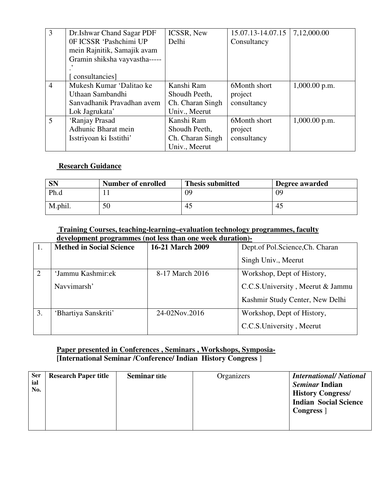| $\overline{3}$ | Dr. Ishwar Chand Sagar PDF    | ICSSR, New       | 15.07.13-14.07.15 | 7,12,000.00     |
|----------------|-------------------------------|------------------|-------------------|-----------------|
|                | 0F ICSSR 'Pashchimi UP        | Delhi            | Consultancy       |                 |
|                | mein Rajnitik, Samajik avam   |                  |                   |                 |
|                | Gramin shiksha vayvastha----- |                  |                   |                 |
|                |                               |                  |                   |                 |
|                | consultancies]                |                  |                   |                 |
| $\overline{4}$ | Mukesh Kumar 'Dalitao ke      | Kanshi Ram       | 6Month short      | $1,000.00$ p.m. |
|                | Uthaan Sambandhi              | Shoudh Peeth,    | project           |                 |
|                | Sanvadhanik Pravadhan avem    | Ch. Charan Singh | consultancy       |                 |
|                | Lok Jagrukata'                | Univ., Meerut    |                   |                 |
| 5              | 'Ranjay Prasad                | Kanshi Ram       | 6Month short      | $1,000.00$ p.m. |
|                | Adhunic Bharat mein           | Shoudh Peeth,    | project           |                 |
|                | Isstriyoan ki Isstithi'       | Ch. Charan Singh | consultancy       |                 |
|                |                               | Univ., Meerut    |                   |                 |

#### **Research Guidance**

| <b>SN</b> | <b>Number of enrolled</b> | <b>Thesis submitted</b> | Degree awarded |
|-----------|---------------------------|-------------------------|----------------|
| Ph.d      |                           | 09                      | 09             |
| M.phil.   | 50                        | 45                      | 45             |

#### **Training Courses, teaching-learning–evaluation technology programmes, faculty development programmes (not less than one week duration)-**

|    | <b>Methed in Social Science</b> | 16-21 March 2009 | Dept.of Pol.Science, Ch. Charan   |
|----|---------------------------------|------------------|-----------------------------------|
|    |                                 |                  | Singh Univ., Meerut               |
| 2  | 'Jammu Kashmir:ek               | 8-17 March 2016  | Workshop, Dept of History,        |
|    | Navvimarsh'                     |                  | C.C.S. University, Meerut & Jammu |
|    |                                 |                  | Kashmir Study Center, New Delhi   |
| 3. | 'Bhartiya Sanskriti'            | 24-02Nov.2016    | Workshop, Dept of History,        |
|    |                                 |                  | C.C.S. University, Meerut         |

#### **Paper presented in Conferences , Seminars , Workshops, Symposia- [International Seminar /Conference/ Indian History Congress** ]

| <b>Ser</b><br>ial<br>No. | <b>Research Paper title</b> | <b>Seminar title</b> | Organizers | <b>International/National</b><br><i><b>Seminar Indian</b></i><br><b>History Congress/</b><br><b>Indian Social Science</b><br>Congress ] |
|--------------------------|-----------------------------|----------------------|------------|-----------------------------------------------------------------------------------------------------------------------------------------|
|                          |                             |                      |            |                                                                                                                                         |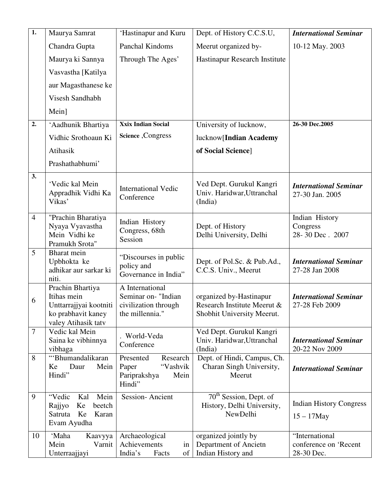| $\overline{1}$ . | Maurya Samrat                                                                                          | 'Hastinapur and Kuru                                                              | Dept. of History C.C.S.U,                                                            | <b>International Seminar</b>                          |
|------------------|--------------------------------------------------------------------------------------------------------|-----------------------------------------------------------------------------------|--------------------------------------------------------------------------------------|-------------------------------------------------------|
|                  | Chandra Gupta                                                                                          | Panchal Kindoms                                                                   | Meerut organized by-                                                                 | 10-12 May. 2003                                       |
|                  | Maurya ki Sannya                                                                                       | Through The Ages'                                                                 | Hastinapur Research Institute                                                        |                                                       |
|                  | Vasvastha [Katilya                                                                                     |                                                                                   |                                                                                      |                                                       |
|                  | aur Magasthanese ke                                                                                    |                                                                                   |                                                                                      |                                                       |
|                  | Visesh Sandhabh                                                                                        |                                                                                   |                                                                                      |                                                       |
|                  | Mein]                                                                                                  |                                                                                   |                                                                                      |                                                       |
| 2.               | 'Aadhunik Bhartiya                                                                                     | <b>Xxix Indian Social</b>                                                         | University of lucknow,                                                               | 26-30 Dec.2005                                        |
|                  | Vidhic Srothoaun Ki                                                                                    | Science , Congress                                                                | lucknow[Indian Academy                                                               |                                                       |
|                  | Atihasik                                                                                               |                                                                                   | of Social Science]                                                                   |                                                       |
|                  | Prashathabhumi'                                                                                        |                                                                                   |                                                                                      |                                                       |
| 3.               | 'Vedic kal Mein<br>Appradhik Vidhi Ka<br>Vikas'                                                        | <b>International Vedic</b><br>Conference                                          | Ved Dept. Gurukul Kangri<br>Univ. Haridwar, Uttranchal<br>(India)                    | <b>International Seminar</b><br>27-30 Jan. 2005       |
| $\overline{4}$   | "Prachin Bharatiya<br>Nyaya Vyavastha<br>Mein Vidhi ke<br>Pramukh Srota"                               | Indian History<br>Congress, 68th<br>Session                                       | Dept. of History<br>Delhi University, Delhi                                          | Indian History<br>Congress<br>28-30 Dec. 2007         |
| 5                | Bharat mein<br>Upbhokta ke<br>adhikar aur sarkar ki<br>niti.                                           | "Discourses in public"<br>policy and<br>Governance in India"                      | Dept. of Pol.Sc. & Pub.Ad.,<br>C.C.S. Univ., Meerut                                  | <b>International Seminar</b><br>27-28 Jan 2008        |
| 6                | Prachin Bhartiya<br>Itihas mein<br>Unttarrajjyai kootniti<br>ko prabhavit kaney<br>valey Atihasik tatv | A International<br>Seminar on- "Indian<br>civilization through<br>the millennia." | organized by-Hastinapur<br>Research Institute Meerut &<br>Shobhit University Meerut. | <b>International Seminar</b><br>27-28 Feb 2009        |
| $\overline{7}$   | Vedic kal Mein<br>Saina ke vibhinnya<br>vibhaga                                                        | World-Veda<br>Conference                                                          | Ved Dept. Gurukul Kangri<br>Univ. Haridwar, Uttranchal<br>(India)                    | <b>International Seminar</b><br>20-22 Nov 2009        |
| 8                | "Bhumandalikaran<br>Daur<br>Ke<br>Mein<br>Hindi"                                                       | Presented<br>Research<br>"Vashvik<br>Paper<br>Pariprakshya<br>Mein<br>Hindi"      | Dept. of Hindi, Campus, Ch.<br>Charan Singh University,<br>Meerut                    | <b>International Seminar</b>                          |
| 9                | Mein<br>"Vedic<br>Kal<br>Ke<br>Rajjyo<br>beetch<br>Satruta<br>Ke<br>Karan<br>Evam Ayudha               | Session-Ancient                                                                   | 70 <sup>th</sup> Session, Dept. of<br>History, Delhi University,<br>NewDelhi         | <b>Indian History Congress</b><br>$15 - 17$ May       |
| 10               | 'Maha<br>Kaavyya<br>Mein<br>Varnit<br>Unterraajjayi                                                    | Archaeological<br>Achievements<br>in<br>of<br>India's<br>Facts                    | organized jointly by<br>Department of Ancietn<br>Indian History and                  | "International<br>conference on 'Recent<br>28-30 Dec. |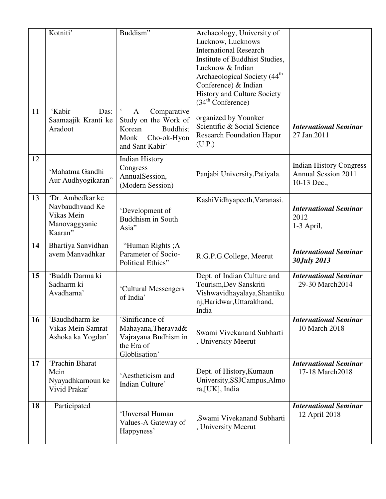|    | Kotniti'                                                                      | Buddism"                                                                                                        | Archaeology, University of<br>Lucknow, Lucknows<br><b>International Research</b><br>Institute of Buddhist Studies,<br>Lucknow & Indian<br>Archaeological Society (44 <sup>th</sup><br>Conference) & Indian<br><b>History and Culture Society</b><br>(34 <sup>th</sup> Conference) |                                                                             |
|----|-------------------------------------------------------------------------------|-----------------------------------------------------------------------------------------------------------------|-----------------------------------------------------------------------------------------------------------------------------------------------------------------------------------------------------------------------------------------------------------------------------------|-----------------------------------------------------------------------------|
| 11 | 'Kabir<br>Das:<br>Saamaajik Kranti ke<br>Aradoot                              | Comparative<br>A<br>Study on the Work of<br>Korean<br><b>Buddhist</b><br>Cho-ok-Hyon<br>Monk<br>and Sant Kabir' | organized by Younker<br>Scientific & Social Science<br><b>Research Foundation Hapur</b><br>(U.P.)                                                                                                                                                                                 | <b>International Seminar</b><br>27 Jan.2011                                 |
| 12 | 'Mahatma Gandhi<br>Aur Audhyogikaran"                                         | <b>Indian History</b><br>Congress<br>AnnualSession,<br>(Modern Session)                                         | Panjabi University, Patiyala.                                                                                                                                                                                                                                                     | <b>Indian History Congress</b><br><b>Annual Session 2011</b><br>10-13 Dec., |
| 13 | 'Dr. Ambedkar ke<br>Navbaudhvaad Ke<br>Vikas Mein<br>Manovaggyanic<br>Kaaran" | 'Development of<br><b>Buddhism in South</b><br>Asia"                                                            | KashiVidhyapeeth, Varanasi.                                                                                                                                                                                                                                                       | <b>International Seminar</b><br>2012<br>1-3 April,                          |
| 14 | Bhartiya Sanvidhan<br>avem Manvadhkar                                         | "Human Rights ; A<br>Parameter of Socio-<br>Political Ethics"                                                   | R.G.P.G.College, Meerut                                                                                                                                                                                                                                                           | <b>International Seminar</b><br>30July 2013                                 |
| 15 | 'Buddh Darma ki<br>Sadharm ki<br>Avadharna'                                   | 'Cultural Messengers<br>of India'                                                                               | Dept. of Indian Culture and<br>Tourism, Dev Sanskriti<br>Vishwavidhayalaya, Shantiku<br>nj, Haridwar, Uttarakhand,<br>India                                                                                                                                                       | <b>International Seminar</b><br>29-30 March2014                             |
| 16 | 'Baudhdharm ke<br>Vikas Mein Samrat<br>Ashoka ka Yogdan'                      | 'Sinificance of<br>Mahayana, Theravad&<br>Vajrayana Budhism in<br>the Era of<br>Globlisation'                   | Swami Vivekanand Subharti<br>, University Meerut                                                                                                                                                                                                                                  | <b>International Seminar</b><br>10 March 2018                               |
| 17 | 'Prachin Bharat<br>Mein<br>Nyayadhkarnoun ke<br>Vivid Prakar'                 | 'Aestheticism and<br>Indian Culture'                                                                            | Dept. of History, Kumaun<br>University, SSJCampus, Almo<br>ra, [UK], India                                                                                                                                                                                                        | <b>International Seminar</b><br>17-18 March2018                             |
| 18 | Participated                                                                  | 'Unversal Human<br>Values-A Gateway of<br>Happyness'                                                            | ,Swami Vivekanand Subharti<br>, University Meerut                                                                                                                                                                                                                                 | <b>International Seminar</b><br>12 April 2018                               |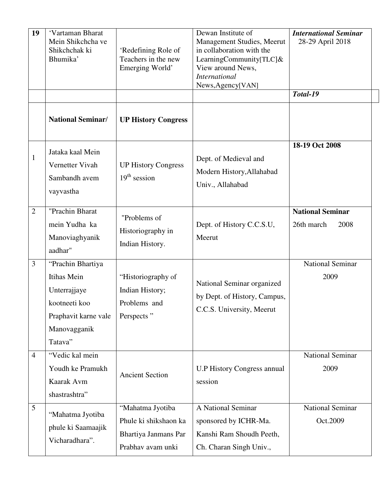| 19             | 'Vartaman Bharat<br>Mein Shikchcha ve<br>Shikchchak ki<br>Bhumika'                                                   | 'Redefining Role of<br>Teachers in the new<br>Emerging World'                          | Dewan Institute of<br>Management Studies, Meerut<br>in collaboration with the<br>LearningCommunity[TLC] $\&$<br>View around News,<br><b>International</b><br>News, Agency[VAN] | <b>International Seminar</b><br>28-29 April 2018<br>Total-19 |
|----------------|----------------------------------------------------------------------------------------------------------------------|----------------------------------------------------------------------------------------|--------------------------------------------------------------------------------------------------------------------------------------------------------------------------------|--------------------------------------------------------------|
|                | <b>National Seminar/</b>                                                                                             | <b>UP History Congress</b>                                                             |                                                                                                                                                                                |                                                              |
| $\mathbf{1}$   | Jataka kaal Mein<br>Vernetter Vivah<br>Sambandh avem<br>vayvastha                                                    | <b>UP History Congress</b><br>$19th$ session                                           | Dept. of Medieval and<br>Modern History, Allahabad<br>Univ., Allahabad                                                                                                         | 18-19 Oct 2008                                               |
| $\overline{2}$ | "Prachin Bharat<br>mein Yudha ka<br>Manoviaghyanik<br>aadhar"                                                        | "Problems of<br>Historiography in<br>Indian History.                                   | Dept. of History C.C.S.U,<br>Meerut                                                                                                                                            | <b>National Seminar</b><br>26th march<br>2008                |
| 3              | "Prachin Bhartiya<br>Itihas Mein<br>Unterrajjaye<br>kootneeti koo<br>Praphavit karne vale<br>Manovagganik<br>Tatava" | "Historiography of<br>Indian History;<br>Problems and<br>Perspects"                    | National Seminar organized<br>by Dept. of History, Campus,<br>C.C.S. University, Meerut                                                                                        | <b>National Seminar</b><br>2009                              |
| $\overline{4}$ | "Vedic kal mein<br>Youdh ke Pramukh<br>Kaarak Avm<br>shastrashtra"                                                   | <b>Ancient Section</b>                                                                 | <b>U.P History Congress annual</b><br>session                                                                                                                                  | National Seminar<br>2009                                     |
| 5              | "Mahatma Jyotiba<br>phule ki Saamaajik<br>Vicharadhara".                                                             | "Mahatma Jyotiba<br>Phule ki shikshaon ka<br>Bhartiya Janmans Par<br>Prabhav avam unki | A National Seminar<br>sponsored by ICHR-Ma.<br>Kanshi Ram Shoudh Peeth,<br>Ch. Charan Singh Univ.,                                                                             | <b>National Seminar</b><br>Oct.2009                          |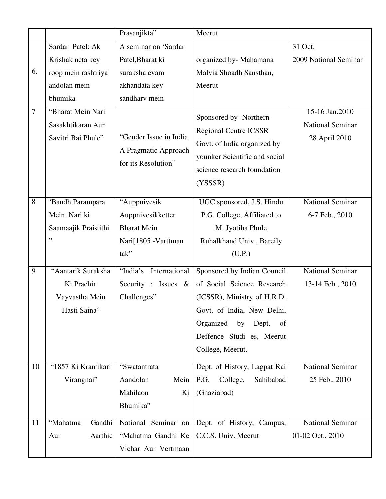|                |                                                                    | Prasanjikta"                                                                            | Meerut                                                                                                                                                                                                    |                                                            |
|----------------|--------------------------------------------------------------------|-----------------------------------------------------------------------------------------|-----------------------------------------------------------------------------------------------------------------------------------------------------------------------------------------------------------|------------------------------------------------------------|
|                | Sardar Patel: Ak                                                   | A seminar on 'Sardar                                                                    |                                                                                                                                                                                                           | 31 Oct.                                                    |
|                | Krishak neta key                                                   | Patel, Bharat ki                                                                        | organized by-Mahamana                                                                                                                                                                                     | 2009 National Seminar                                      |
| 6.             | roop mein rashtriya                                                | suraksha evam                                                                           | Malvia Shoadh Sansthan,                                                                                                                                                                                   |                                                            |
|                | andolan mein                                                       | akhandata key                                                                           | Meerut                                                                                                                                                                                                    |                                                            |
|                | bhumika                                                            | sandharv mein                                                                           |                                                                                                                                                                                                           |                                                            |
| $\overline{7}$ | "Bharat Mein Nari<br>Sasakhtikaran Aur<br>Savitri Bai Phule"       | "Gender Issue in India<br>A Pragmatic Approach<br>for its Resolution"                   | Sponsored by-Northern<br><b>Regional Centre ICSSR</b><br>Govt. of India organized by<br>younker Scientific and social<br>science research foundation<br>(YSSSR)                                           | 15-16 Jan.2010<br><b>National Seminar</b><br>28 April 2010 |
| 8              | 'Baudh Parampara<br>Mein Nari ki<br>Saamaajik Praistithi<br>,,     | "Auppnivesik<br>Auppnivesikketter<br><b>Bharat Mein</b><br>Nari[1805 - Varttman<br>tak" | UGC sponsored, J.S. Hindu<br>P.G. College, Affiliated to<br>M. Jyotiba Phule<br>Ruhalkhand Univ., Bareily<br>(U.P.)                                                                                       | <b>National Seminar</b><br>6-7 Feb., 2010                  |
| 9              | "Aantarik Suraksha<br>Ki Prachin<br>Vayvastha Mein<br>Hasti Saina" | International<br>"India's<br>Security : Issues $\&$<br>Challenges"                      | Sponsored by Indian Council<br>of Social Science Research<br>(ICSSR), Ministry of H.R.D.<br>Govt. of India, New Delhi,<br>Organized<br>by<br>Dept.<br>of<br>Deffence Studi es, Meerut<br>College, Meerut. | National Seminar<br>13-14 Feb., 2010                       |
| 10             | "1857 Ki Krantikari<br>Virangnai"                                  | "Swatantrata<br>Aandolan<br>Mein<br>Mahilaon<br>Ki<br>Bhumika"                          | Dept. of History, Lagpat Rai<br>P.G.<br>College,<br>Sahibabad<br>(Ghaziabad)                                                                                                                              | <b>National Seminar</b><br>25 Feb., 2010                   |
| 11             | Gandhi<br>"Mahatma<br>Aarthic<br>Aur                               | National Seminar on<br>"Mahatma Gandhi Ke<br>Vichar Aur Vertmaan                        | Dept. of History, Campus,<br>C.C.S. Univ. Meerut                                                                                                                                                          | <b>National Seminar</b><br>01-02 Oct., 2010                |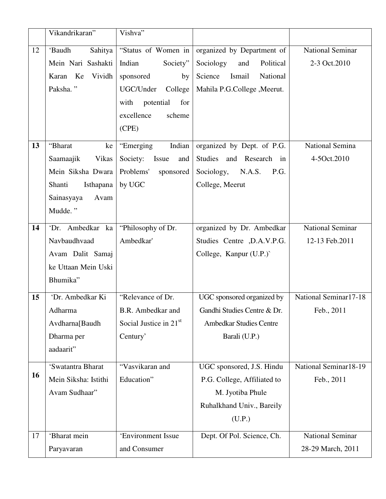|    | Vikandrikaran"       | Vishva"                  |                                |                         |
|----|----------------------|--------------------------|--------------------------------|-------------------------|
| 12 | 'Baudh<br>Sahitya    | "Status of Women in      | organized by Department of     | <b>National Seminar</b> |
|    | Mein Nari Sashakti   | Indian<br>Society"       | Sociology<br>and<br>Political  | 2-3 Oct.2010            |
|    | Karan Ke<br>Vividh   | sponsored<br>by          | Science<br>Ismail<br>National  |                         |
|    | Paksha."             | UGC/Under<br>College     | Mahila P.G.College, Meerut.    |                         |
|    |                      | with<br>potential<br>for |                                |                         |
|    |                      | excellence<br>scheme     |                                |                         |
|    |                      | (CPE)                    |                                |                         |
| 13 | "Bharat<br>ke        | "Emerging<br>Indian      | organized by Dept. of P.G.     | National Semina         |
|    | Saamaajik<br>Vikas   | Society: Issue<br>and    | Studies and Research in        | 4-5Oct.2010             |
|    | Mein Siksha Dwara    | Problems'<br>sponsored   | Sociology, N.A.S.<br>P.G.      |                         |
|    | Shanti<br>Isthapana  | by UGC                   | College, Meerut                |                         |
|    | Sainasyaya<br>Avam   |                          |                                |                         |
|    | Mudde."              |                          |                                |                         |
| 14 | 'Dr. Ambedkar ka     | "Philosophy of Dr.       | organized by Dr. Ambedkar      | <b>National Seminar</b> |
|    | Navbaudhvaad         | Ambedkar'                | Studies Centre , D.A.V.P.G.    | 12-13 Feb.2011          |
|    | Avam Dalit Samaj     |                          | College, Kanpur (U.P.)         |                         |
|    | ke Uttaan Mein Uski  |                          |                                |                         |
|    | Bhumika"             |                          |                                |                         |
| 15 | 'Dr. Ambedkar Ki     | "Relevance of Dr.        | UGC sponsored organized by     | National Seminar17-18   |
|    | Adharma              | B.R. Ambedkar and        | Gandhi Studies Centre & Dr.    | Feb., 2011              |
|    | Avdharna[Baudh       | Social Justice in $21st$ | <b>Ambedkar Studies Centre</b> |                         |
|    | Dharma per           | Century'                 | Barali (U.P.)                  |                         |
|    | aadaarit"            |                          |                                |                         |
|    | 'Swatantra Bharat    | "Vasvikaran and          | UGC sponsored, J.S. Hindu      | National Seminar18-19   |
| 16 | Mein Siksha: Istithi | Education"               | P.G. College, Affiliated to    | Feb., 2011              |
|    | Avam Sudhaar"        |                          | M. Jyotiba Phule               |                         |
|    |                      |                          | Ruhalkhand Univ., Bareily      |                         |
|    |                      |                          | (U.P.)                         |                         |
| 17 | 'Bharat mein         | 'Environment Issue       | Dept. Of Pol. Science, Ch.     | National Seminar        |
|    | Paryavaran           | and Consumer             |                                | 28-29 March, 2011       |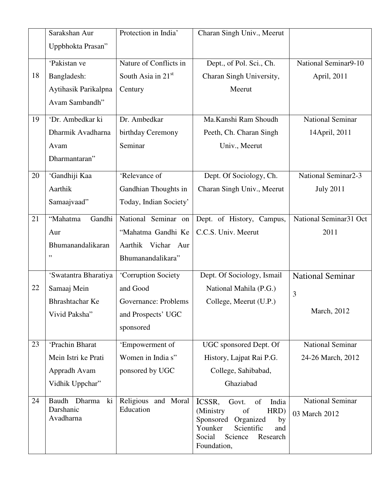|    | Sarakshan Aur          | Protection in India'   | Charan Singh Univ., Meerut                              |                         |
|----|------------------------|------------------------|---------------------------------------------------------|-------------------------|
|    | Uppbhokta Prasan"      |                        |                                                         |                         |
|    | 'Pakistan ve           | Nature of Conflicts in | Dept., of Pol. Sci., Ch.                                | National Seminar9-10    |
| 18 | Bangladesh:            | South Asia in 21st     | Charan Singh University,                                | April, 2011             |
|    | Aytihasik Parikalpna   | Century                | Meerut                                                  |                         |
|    | Avam Sambandh"         |                        |                                                         |                         |
| 19 | 'Dr. Ambedkar ki       | Dr. Ambedkar           | Ma.Kanshi Ram Shoudh                                    | <b>National Seminar</b> |
|    | Dharmik Avadharna      | birthday Ceremony      | Peeth, Ch. Charan Singh                                 | 14April, 2011           |
|    | Avam                   | Seminar                | Univ., Meerut                                           |                         |
|    | Dharmantaran"          |                        |                                                         |                         |
| 20 | 'Gandhiji Kaa          | 'Relevance of          | Dept. Of Sociology, Ch.                                 | National Seminar2-3     |
|    | Aarthik                | Gandhian Thoughts in   | Charan Singh Univ., Meerut                              | <b>July 2011</b>        |
|    | Samaajvaad"            | Today, Indian Society' |                                                         |                         |
| 21 | Gandhi<br>"Mahatma     | National Seminar on    | Dept. of History, Campus,                               | National Seminar31 Oct  |
|    | Aur                    | "Mahatma Gandhi Ke     | C.C.S. Univ. Meerut                                     | 2011                    |
|    | Bhumanandalikaran      | Aarthik Vichar Aur     |                                                         |                         |
|    | ,,                     | Bhumanandalikara"      |                                                         |                         |
|    | 'Swatantra Bharatiya   | 'Corruption Society    | Dept. Of Sociology, Ismail                              | <b>National Seminar</b> |
| 22 | Samaaj Mein            | and Good               | National Mahila (P.G.)                                  | 3                       |
|    | Bhrashtachar Ke        | Governance: Problems   | College, Meerut (U.P.)                                  |                         |
|    | Vivid Paksha"          | and Prospects' UGC     |                                                         | March, 2012             |
|    |                        | sponsored              |                                                         |                         |
| 23 | 'Prachin Bharat        | 'Empowerment of        | UGC sponsored Dept. Of                                  | National Seminar        |
|    | Mein Istri ke Prati    | Women in India s"      | History, Lajpat Rai P.G.                                | 24-26 March, 2012       |
|    | Appradh Avam           | ponsored by UGC        | College, Sahibabad,                                     |                         |
|    | Vidhik Uppchar"        |                        | Ghaziabad                                               |                         |
| 24 | ki<br>Baudh<br>Dharma  | Religious and Moral    | ICSSR,<br>India<br>Govt.<br>of                          | <b>National Seminar</b> |
|    | Darshanic<br>Avadharna | Education              | (Ministry<br>of<br>HRD)<br>Sponsored<br>Organized<br>by | 03 March 2012           |
|    |                        |                        | Younker<br>Scientific<br>and                            |                         |
|    |                        |                        | Social<br>Science<br>Research                           |                         |
|    |                        |                        | Foundation,                                             |                         |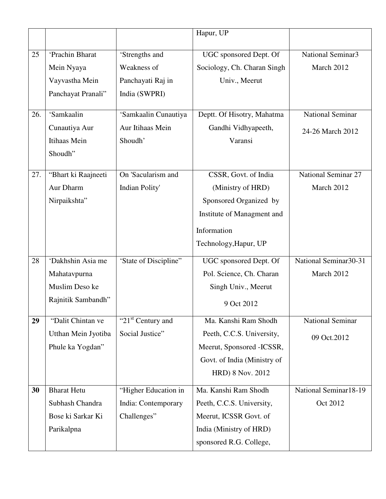|     |                     |                               | Hapur, UP                   |                                   |
|-----|---------------------|-------------------------------|-----------------------------|-----------------------------------|
|     |                     |                               |                             |                                   |
| 25  | 'Prachin Bharat     | 'Strengths and                | UGC sponsored Dept. Of      | National Seminar3                 |
|     | Mein Nyaya          | Weakness of                   | Sociology, Ch. Charan Singh | March 2012                        |
|     | Vayvastha Mein      | Panchayati Raj in             | Univ., Meerut               |                                   |
|     | Panchayat Pranali"  | India (SWPRI)                 |                             |                                   |
| 26. | 'Samkaalin          | 'Samkaalin Cunautiya          | Deptt. Of Hisotry, Mahatma  | <b>National Seminar</b>           |
|     | Cunautiya Aur       | Aur Itihaas Mein              | Gandhi Vidhyapeeth,         | 24-26 March 2012                  |
|     | Itihaas Mein        | Shoudh'                       | Varansi                     |                                   |
|     | Shoudh"             |                               |                             |                                   |
| 27. | "Bhart ki Raajneeti | On 'Sacularism and            | CSSR, Govt. of India        | <b>National Seminar 27</b>        |
|     | Aur Dharm           | <b>Indian Polity'</b>         | (Ministry of HRD)           | March 2012                        |
|     | Nirpaikshta"        |                               | Sponsored Organized by      |                                   |
|     |                     |                               | Institute of Managment and  |                                   |
|     |                     |                               | Information                 |                                   |
|     |                     |                               | Technology, Hapur, UP       |                                   |
| 28  | 'Dakhshin Asia me   | 'State of Discipline"         | UGC sponsored Dept. Of      | National Seminar30-31             |
|     | Mahatavpurna        |                               | Pol. Science, Ch. Charan    | March 2012                        |
|     | Muslim Deso ke      |                               | Singh Univ., Meerut         |                                   |
|     | Rajnitik Sambandh"  |                               | 9 Oct 2012                  |                                   |
| 29  | "Dalit Chintan ve   | "21 <sup>st</sup> Century and | Ma. Kanshi Ram Shodh        | <b>National Seminar</b>           |
|     | Utthan Mein Jyotiba | Social Justice"               | Peeth, C.C.S. University,   | 09 Oct.2012                       |
|     | Phule ka Yogdan"    |                               | Meerut, Sponsored -ICSSR,   |                                   |
|     |                     |                               | Govt. of India (Ministry of |                                   |
|     |                     |                               | HRD) 8 Nov. 2012            |                                   |
| 30  | <b>Bharat Hetu</b>  | "Higher Education in          | Ma. Kanshi Ram Shodh        | National Seminar <sup>18-19</sup> |
|     | Subhash Chandra     | India: Contemporary           | Peeth, C.C.S. University,   | Oct 2012                          |
|     | Bose ki Sarkar Ki   | Challenges"                   | Meerut, ICSSR Govt. of      |                                   |
|     | Parikalpna          |                               | India (Ministry of HRD)     |                                   |
|     |                     |                               | sponsored R.G. College,     |                                   |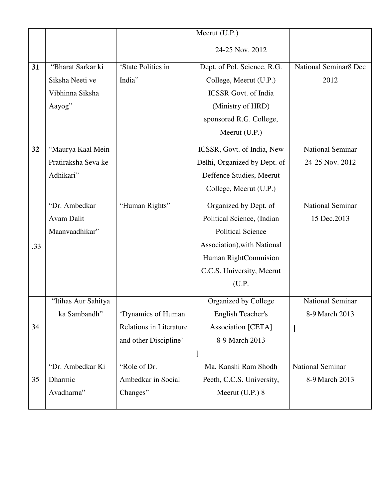|     |                     |                                | Meerut (U.P.)                |                         |
|-----|---------------------|--------------------------------|------------------------------|-------------------------|
|     |                     |                                | 24-25 Nov. 2012              |                         |
| 31  | "Bharat Sarkar ki   | 'State Politics in             | Dept. of Pol. Science, R.G.  | National Seminar8 Dec   |
|     | Siksha Neeti ve     | India"                         | College, Meerut (U.P.)       | 2012                    |
|     | Vibhinna Siksha     |                                | <b>ICSSR</b> Govt. of India  |                         |
|     | Aayog"              |                                | (Ministry of HRD)            |                         |
|     |                     |                                | sponsored R.G. College,      |                         |
|     |                     |                                | Meerut (U.P.)                |                         |
| 32  | "Maurya Kaal Mein   |                                | ICSSR, Govt. of India, New   | <b>National Seminar</b> |
|     | Pratiraksha Seva ke |                                | Delhi, Organized by Dept. of | 24-25 Nov. 2012         |
|     | Adhikari"           |                                | Deffence Studies, Meerut     |                         |
|     |                     |                                | College, Meerut (U.P.)       |                         |
|     | "Dr. Ambedkar       | "Human Rights"                 | Organized by Dept. of        | <b>National Seminar</b> |
|     | Avam Dalit          |                                | Political Science, (Indian   | 15 Dec. 2013            |
|     | Maanvaadhikar"      |                                | <b>Political Science</b>     |                         |
| .33 |                     |                                | Association), with National  |                         |
|     |                     |                                | Human RightCommision         |                         |
|     |                     |                                | C.C.S. University, Meerut    |                         |
|     |                     |                                | (U.P.                        |                         |
|     | "Itihas Aur Sahitya |                                | Organized by College         | <b>National Seminar</b> |
|     | ka Sambandh"        | 'Dynamics of Human             | <b>English Teacher's</b>     | 8-9 March 2013          |
| 34  |                     | <b>Relations in Literature</b> | <b>Association</b> [CETA]    | ]                       |
|     |                     | and other Discipline'          | 8-9 March 2013               |                         |
|     |                     |                                | $\mathbf{I}$                 |                         |
|     | "Dr. Ambedkar Ki    | "Role of Dr.                   | Ma. Kanshi Ram Shodh         | <b>National Seminar</b> |
| 35  | Dharmic             | Ambedkar in Social             | Peeth, C.C.S. University,    | 8-9 March 2013          |
|     | Avadharna"          | Changes"                       | Meerut $(U.P.)$ 8            |                         |
|     |                     |                                |                              |                         |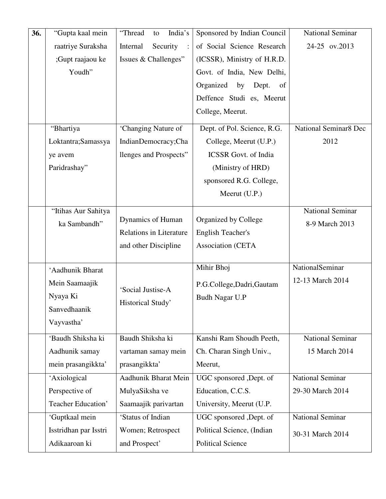| 36. | "Gupta kaal mein      | "Thread<br>India's<br>to       | Sponsored by Indian Council                  | <b>National Seminar</b> |
|-----|-----------------------|--------------------------------|----------------------------------------------|-------------------------|
|     | raatriye Suraksha     | Security<br>Internal           | of Social Science Research                   | 24-25 ov.2013           |
|     | ;Gupt raajaou ke      | Issues & Challenges"           | (ICSSR), Ministry of H.R.D.                  |                         |
|     | Youdh"                |                                | Govt. of India, New Delhi,                   |                         |
|     |                       |                                | Organized<br>by<br>Dept.<br>of               |                         |
|     |                       |                                | Deffence Studi es, Meerut                    |                         |
|     |                       |                                | College, Meerut.                             |                         |
|     | "Bhartiya             | 'Changing Nature of            | Dept. of Pol. Science, R.G.                  | National Seminar8 Dec   |
|     | Loktantra; Samassya   | IndianDemocracy;Cha            | College, Meerut (U.P.)                       | 2012                    |
|     | ye avem               | llenges and Prospects"         | <b>ICSSR</b> Govt. of India                  |                         |
|     | Paridrashay"          |                                | (Ministry of HRD)                            |                         |
|     |                       |                                | sponsored R.G. College,                      |                         |
|     |                       |                                | Meerut $(U.P.)$                              |                         |
|     | "Itihas Aur Sahitya   |                                |                                              | National Seminar        |
|     | ka Sambandh"          | Dynamics of Human              | Organized by College                         | 8-9 March 2013          |
|     |                       | <b>Relations in Literature</b> | <b>English Teacher's</b>                     |                         |
|     |                       | and other Discipline           | <b>Association (CETA</b>                     |                         |
|     |                       |                                |                                              |                         |
|     | 'Aadhunik Bharat      |                                | Mihir Bhoj                                   | NationalSeminar         |
|     | Mein Saamaajik        | 'Social Justise-A              | P.G.College, Dadri, Gautam<br>Budh Nagar U.P | 12-13 March 2014        |
|     | Nyaya Ki              |                                |                                              |                         |
|     | Sanvedhaanik          | Historical Study'              |                                              |                         |
|     | Vayvastha'            |                                |                                              |                         |
|     | 'Baudh Shiksha ki     | Baudh Shiksha ki               | Kanshi Ram Shoudh Peeth,                     | <b>National Seminar</b> |
|     | Aadhunik samay        | vartaman samay mein            | Ch. Charan Singh Univ.,                      | 15 March 2014           |
|     | mein prasangikkta'    | prasangikkta'                  | Meerut,                                      |                         |
|     | 'Axiological          | Aadhunik Bharat Mein           | UGC sponsored , Dept. of                     | <b>National Seminar</b> |
|     | Perspective of        | MulyaSiksha ve                 | Education, C.C.S.                            | 29-30 March 2014        |
|     | Teacher Education'    | Saamaajik parivartan           | University, Meerut (U.P.                     |                         |
|     | 'Guptkaal mein        | 'Status of Indian              | UGC sponsored , Dept. of                     | <b>National Seminar</b> |
|     | Isstridhan par Isstri | Women; Retrospect              | Political Science, (Indian                   | 30-31 March 2014        |
|     | Adikaaroan ki         | and Prospect'                  | <b>Political Science</b>                     |                         |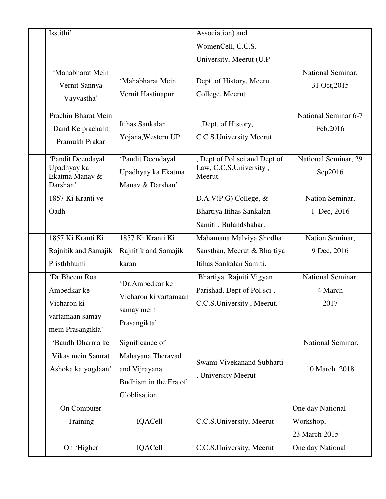| Isstithi'                                                                           |                                                                                                 | Association) and                                                                   |                                                |
|-------------------------------------------------------------------------------------|-------------------------------------------------------------------------------------------------|------------------------------------------------------------------------------------|------------------------------------------------|
|                                                                                     |                                                                                                 | WomenCell, C.C.S.                                                                  |                                                |
|                                                                                     |                                                                                                 | University, Meerut (U.P)                                                           |                                                |
| 'Mahabharat Mein<br>Vernit Sannya<br>Vayvastha'                                     | 'Mahabharat Mein<br>Vernit Hastinapur                                                           | Dept. of History, Meerut<br>College, Meerut                                        | National Seminar,<br>31 Oct, 2015              |
| Prachin Bharat Mein<br>Dand Ke prachalit<br>Pramukh Prakar                          | Itihas Sankalan<br>Yojana, Western UP                                                           | ,Dept. of History,<br>C.C.S. University Meerut                                     | <b>National Seminar 6-7</b><br>Feb.2016        |
| 'Pandit Deendayal<br>Upadhyay ka<br>Ekatma Manav &<br>Darshan'                      | 'Pandit Deendayal<br>Upadhyay ka Ekatma<br>Manav & Darshan'                                     | , Dept of Pol.sci and Dept of<br>Law, C.C.S.University,<br>Meerut.                 | National Seminar, 29<br>Sep2016                |
| 1857 Ki Kranti ve                                                                   |                                                                                                 | D.A.V $(P.G)$ College, &                                                           | Nation Seminar,                                |
| Oadh                                                                                |                                                                                                 | Bhartiya Itihas Sankalan                                                           | 1 Dec, 2016                                    |
|                                                                                     |                                                                                                 | Samiti, Bulandshahar.                                                              |                                                |
| 1857 Ki Kranti Ki                                                                   | 1857 Ki Kranti Ki                                                                               | Mahamana Malviya Shodha                                                            | Nation Seminar,                                |
| Rajnitik and Samajik                                                                | Rajnitik and Samajik                                                                            | Sansthan, Meerut & Bhartiya                                                        | 9 Dec, 2016                                    |
| Pristhbhumi                                                                         | karan                                                                                           | Itihas Sankalan Samiti.                                                            |                                                |
| 'Dr.Bheem Roa<br>Ambedkar ke<br>Vicharon ki<br>vartamaan samay<br>mein Prasangikta' | 'Dr.Ambedkar ke<br>Vicharon ki vartamaan<br>samay mein<br>Prasangikta'                          | Bhartiya Rajniti Vigyan<br>Parishad, Dept of Pol.sci,<br>C.C.S.University, Meerut. | National Seminar,<br>4 March<br>2017           |
| 'Baudh Dharma ke<br>Vikas mein Samrat<br>Ashoka ka yogdaan'                         | Significance of<br>Mahayana, Theravad<br>and Vijrayana<br>Budhism in the Era of<br>Globlisation | Swami Vivekanand Subharti<br>, University Meerut                                   | National Seminar,<br>10 March 2018             |
| On Computer<br>Training                                                             | IQACell                                                                                         | C.C.S. University, Meerut                                                          | One day National<br>Workshop,<br>23 March 2015 |
| On 'Higher                                                                          | IQACell                                                                                         | C.C.S.University, Meerut                                                           | One day National                               |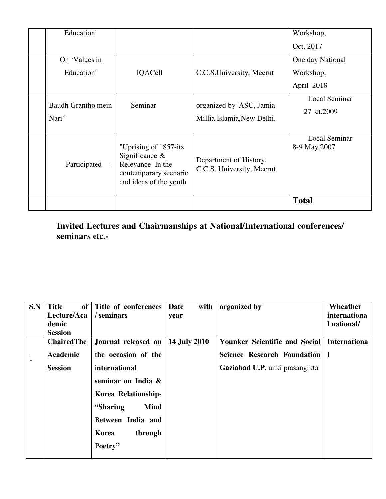| Education'                  |                                                                                                                    |                                                        | Workshop,                            |
|-----------------------------|--------------------------------------------------------------------------------------------------------------------|--------------------------------------------------------|--------------------------------------|
|                             |                                                                                                                    |                                                        | Oct. 2017                            |
| On 'Values in               |                                                                                                                    |                                                        | One day National                     |
| Education'                  | <b>IQACell</b>                                                                                                     | C.C.S. University, Meerut                              | Workshop,                            |
|                             |                                                                                                                    |                                                        | April 2018                           |
| Baudh Grantho mein<br>Nari" | Seminar                                                                                                            | organized by 'ASC, Jamia<br>Millia Islamia, New Delhi. | <b>Local Seminar</b><br>27 ct.2009   |
| Participated<br>$\sim$      | "Uprising of 1857-its"<br>Significance $\&$<br>Relevance In the<br>contemporary scenario<br>and ideas of the youth | Department of History,<br>C.C.S. University, Meerut    | <b>Local Seminar</b><br>8-9 May.2007 |
|                             |                                                                                                                    |                                                        | <b>Total</b>                         |

**Invited Lectures and Chairmanships at National/International conferences/ seminars etc.-** 

| S.N          | <b>Title</b><br>of <sub>1</sub><br>Lecture/Aca | Title of conferences<br>/ seminars | Date<br>with<br>year | organized by                         | Wheather<br>internationa |
|--------------|------------------------------------------------|------------------------------------|----------------------|--------------------------------------|--------------------------|
|              | demic                                          |                                    |                      |                                      | l national/              |
|              | <b>Session</b>                                 |                                    |                      |                                      |                          |
|              | <b>ChairedThe</b>                              | Journal released on                | <b>14 July 2010</b>  | <b>Younker Scientific and Social</b> | <b>Internationa</b>      |
| $\mathbf{1}$ | Academic                                       | the occasion of the                |                      | <b>Science Research Foundation</b>   |                          |
|              | <b>Session</b>                                 | international                      |                      | Gaziabad U.P. unki prasangikta       |                          |
|              |                                                | seminar on India &                 |                      |                                      |                          |
|              |                                                | Korea Relationship-                |                      |                                      |                          |
|              |                                                | "Sharing"<br><b>Mind</b>           |                      |                                      |                          |
|              |                                                | Between India and                  |                      |                                      |                          |
|              |                                                | through<br>Korea                   |                      |                                      |                          |
|              |                                                | Poetry"                            |                      |                                      |                          |
|              |                                                |                                    |                      |                                      |                          |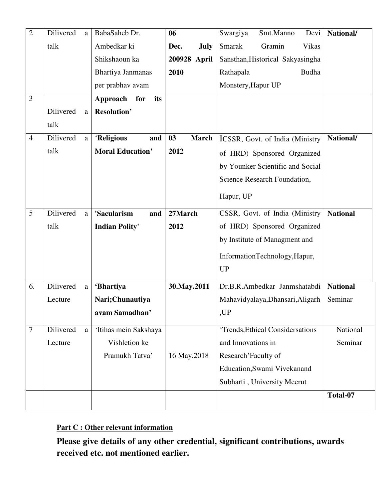| $\overline{2}$ | Dilivered | a            | BabaSaheb Dr.           | 06                  | Smt.Manno<br>Swargiya<br>Devi    | National/       |
|----------------|-----------|--------------|-------------------------|---------------------|----------------------------------|-----------------|
|                | talk      |              | Ambedkar ki             | <b>July</b><br>Dec. | <b>Smarak</b><br>Gramin<br>Vikas |                 |
|                |           |              | Shikshaoun ka           | 200928 April        | Sansthan, Historical Sakyasingha |                 |
|                |           |              | Bhartiya Janmanas       | 2010                | Rathapala<br>Budha               |                 |
|                |           |              | per prabhav avam        |                     | Monstery, Hapur UP               |                 |
| 3              |           |              | its<br>Approach<br>for  |                     |                                  |                 |
|                | Dilivered | a            | <b>Resolution'</b>      |                     |                                  |                 |
|                | talk      |              |                         |                     |                                  |                 |
| $\overline{4}$ | Dilivered | a            | 'Religious<br>and       | 03<br><b>March</b>  | ICSSR, Govt. of India (Ministry  | National/       |
|                | talk      |              | <b>Moral Education'</b> | 2012                | of HRD) Sponsored Organized      |                 |
|                |           |              |                         |                     | by Younker Scientific and Social |                 |
|                |           |              |                         |                     | Science Research Foundation,     |                 |
|                |           |              |                         |                     | Hapur, UP                        |                 |
|                |           |              |                         |                     |                                  |                 |
| 5              | Dilivered | a            | 'Sacularism<br>and      | 27March             | CSSR, Govt. of India (Ministry   | <b>National</b> |
|                | talk      |              | <b>Indian Polity'</b>   | 2012                | of HRD) Sponsored Organized      |                 |
|                |           |              |                         |                     | by Institute of Managment and    |                 |
|                |           |              |                         |                     | InformationTechnology, Hapur,    |                 |
|                |           |              |                         |                     | <b>UP</b>                        |                 |
| 6.             | Dilivered | $\rm{a}$     | 'Bhartiya               | 30. May . 2011      | Dr.B.R.Ambedkar Janmshatabdi     | <b>National</b> |
|                | Lecture   |              | Nari;Chunautiya         |                     | Mahavidyalaya, Dhansari, Aligarh | Seminar         |
|                |           |              | avam Samadhan'          |                     | ,UP                              |                 |
|                |           |              |                         |                     |                                  |                 |
| 7              | Dilivered | $\mathbf{a}$ | 'Itihas mein Sakshaya   |                     | 'Trends, Ethical Considersations | National        |
|                | Lecture   |              | Vishletion ke           |                     | and Innovations in               | Seminar         |
|                |           |              | Pramukh Tatva'          | 16 May.2018         | Research' Faculty of             |                 |
|                |           |              |                         |                     | Education, Swami Vivekanand      |                 |
|                |           |              |                         |                     | Subharti, University Meerut      |                 |
|                |           |              |                         |                     |                                  | Total-07        |
|                |           |              |                         |                     |                                  |                 |

# **Part C : Other relevant information**

**Please give details of any other credential, significant contributions, awards received etc. not mentioned earlier.**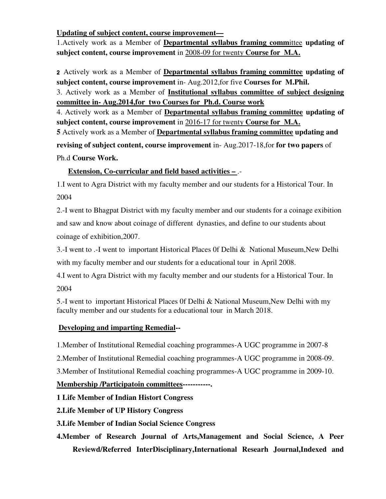**Updating of subject content, course improvement—**

1.Actively work as a Member of **Departmental syllabus framing comm**ittee **updating of subject content, course improvement** in 2008-09 for twenty **Course for M.A.**

2 Actively work as a Member of **Departmental syllabus framing committee updating of subject content, course improvement** in- Aug.2012,for five **Courses for M.Phil.** 3. Actively work as a Member of **Institutional syllabus committee of subject designing committee in- Aug.2014,for two Courses for Ph.d. Course work**

4. Actively work as a Member of **Departmental syllabus framing committee updating of subject content, course improvement** in 2016-17 for twenty **Course for M.A. 5** Actively work as a Member of **Departmental syllabus framing committee updating and revising of subject content, course improvement** in- Aug.2017-18,for **for two papers** of

Ph.d **Course Work.** 

### **Extension, Co-curricular and field based activities –** .-

1.I went to Agra District with my faculty member and our students for a Historical Tour. In 2004

2.-I went to Bhagpat District with my faculty member and our students for a coinage exibition and saw and know about coinage of different dynasties, and define to our students about coinage of exhibition,2007.

3.-I went to .-I went to important Historical Places 0f Delhi & National Museum,New Delhi with my faculty member and our students for a educational tour in April 2008.

4.I went to Agra District with my faculty member and our students for a Historical Tour. In 2004

5.-I went to important Historical Places 0f Delhi & National Museum,New Delhi with my faculty member and our students for a educational tour in March 2018.

### **Developing and imparting Remedial--**

1.Member of Institutional Remedial coaching programmes-A UGC programme in 2007-8

2.Member of Institutional Remedial coaching programmes-A UGC programme in 2008-09.

3.Member of Institutional Remedial coaching programmes-A UGC programme in 2009-10.

## **Membership /Participatoin committees-----------.**

**1 Life Member of Indian Histort Congress** 

**2.Life Member of UP History Congress** 

**3.Life Member of Indian Social Science Congress** 

**4.Member of Research Journal of Arts,Management and Social Science, A Peer Reviewd/Referred InterDisciplinary,International Researh Journal,Indexed and**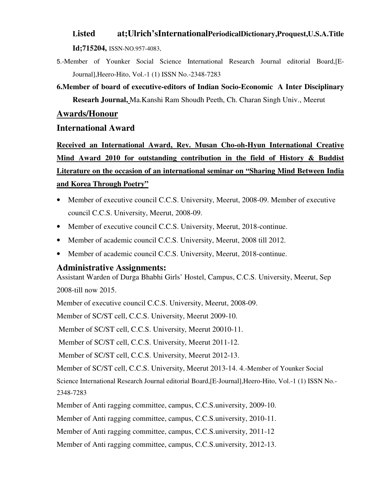#### **Listed at;Ulrich'sInternationalPeriodicalDictionary,Proquest,U.S.A.Title**

**Id;715204,** ISSN-NO.957-4083,

5.-Member of Younker Social Science International Research Journal editorial Board,[E-Journal],Heero-Hito, Vol.-1 (1) ISSN No.-2348-7283

**6.Member of board of executive-editors of Indian Socio-Economic A Inter Disciplinary Researh Journal,** Ma.Kanshi Ram Shoudh Peeth, Ch. Charan Singh Univ., Meerut

#### **Awards/Honour**

#### **International Award**

**Received an International Award, Rev. Musan Cho-oh-Hyun International Creative Mind Award 2010 for outstanding contribution in the field of History & Buddist Literature on the occasion of an international seminar on "Sharing Mind Between India and Korea Through Poetry"**

- Member of executive council C.C.S. University, Meerut, 2008-09. Member of executive council C.C.S. University, Meerut, 2008-09.
- Member of executive council C.C.S. University, Meerut, 2018-continue.
- Member of academic council C.C.S. University, Meerut, 2008 till 2012.
- Member of academic council C.C.S. University, Meerut, 2018-continue.

#### **Administrative Assignments:**

Assistant Warden of Durga Bhabhi Girls' Hostel, Campus, C.C.S. University, Meerut, Sep 2008-till now 2015.

Member of executive council C.C.S. University, Meerut, 2008-09.

Member of SC/ST cell, C.C.S. University, Meerut 2009-10.

Member of SC/ST cell, C.C.S. University, Meerut 20010-11.

Member of SC/ST cell, C.C.S. University, Meerut 2011-12.

Member of SC/ST cell, C.C.S. University, Meerut 2012-13.

Member of SC/ST cell, C.C.S. University, Meerut 2013-14. 4.-Member of Younker Social

Science International Research Journal editorial Board,[E-Journal],Heero-Hito, Vol.-1 (1) ISSN No.-

2348-7283

Member of Anti ragging committee, campus, C.C.S.university, 2009-10.

Member of Anti ragging committee, campus, C.C.S.university, 2010-11.

Member of Anti ragging committee, campus, C.C.S.university, 2011-12

Member of Anti ragging committee, campus, C.C.S.university, 2012-13.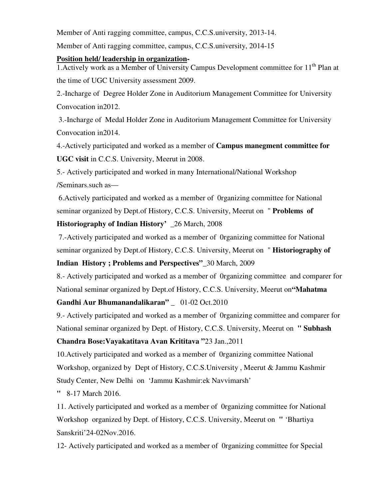Member of Anti ragging committee, campus, C.C.S.university, 2013-14. Member of Anti ragging committee, campus, C.C.S.university, 2014-15

#### **Position held/ leadership in organization-**

1. Actively work as a Member of University Campus Development committee for  $11<sup>th</sup>$  Plan at the time of UGC University assessment 2009.

2.-Incharge of Degree Holder Zone in Auditorium Management Committee for University Convocation in2012.

 3.-Incharge of Medal Holder Zone in Auditorium Management Committee for University Convocation in2014.

4.-Actively participated and worked as a member of **Campus manegment committee for UGC visit** in C.C.S. University, Meerut in 2008.

5.- Actively participated and worked in many International/National Workshop /Seminars.such as—

 6.Actively participated and worked as a member of 0rganizing committee for National seminar organized by Dept.of History, C.C.S. University, Meerut on " **Problems of Historiography of Indian History'** \_26 March, 2008

 7.-Actively participated and worked as a member of 0rganizing committee for National seminar organized by Dept.of History, C.C.S. University, Meerut on " **Historiography of Indian History ; Problems and Perspectives"\_**30 March, 2009

8.- Actively participated and worked as a member of 0rganizing committee and comparer for National seminar organized by Dept.of History, C.C.S. University, Meerut on**"Mahatma** 

#### **Gandhi Aur Bhumanandalikaran"** \_ 01-02 Oct.2010

9.- Actively participated and worked as a member of 0rganizing committee and comparer for National seminar organized by Dept. of History, C.C.S. University, Meerut on **" Subhash** 

#### **Chandra Bose:Vayakatitava Avan Krititava "**23 Jan.,2011

10.Actively participated and worked as a member of 0rganizing committee National Workshop, organized by Dept of History, C.C.S.University , Meerut & Jammu Kashmir Study Center, New Delhi on 'Jammu Kashmir:ek Navvimarsh'

**"** 8-17 March 2016.

11. Actively participated and worked as a member of 0rganizing committee for National Workshop organized by Dept. of History, C.C.S. University, Meerut on **"** 'Bhartiya Sanskriti'24-02Nov.2016.

12- Actively participated and worked as a member of 0rganizing committee for Special